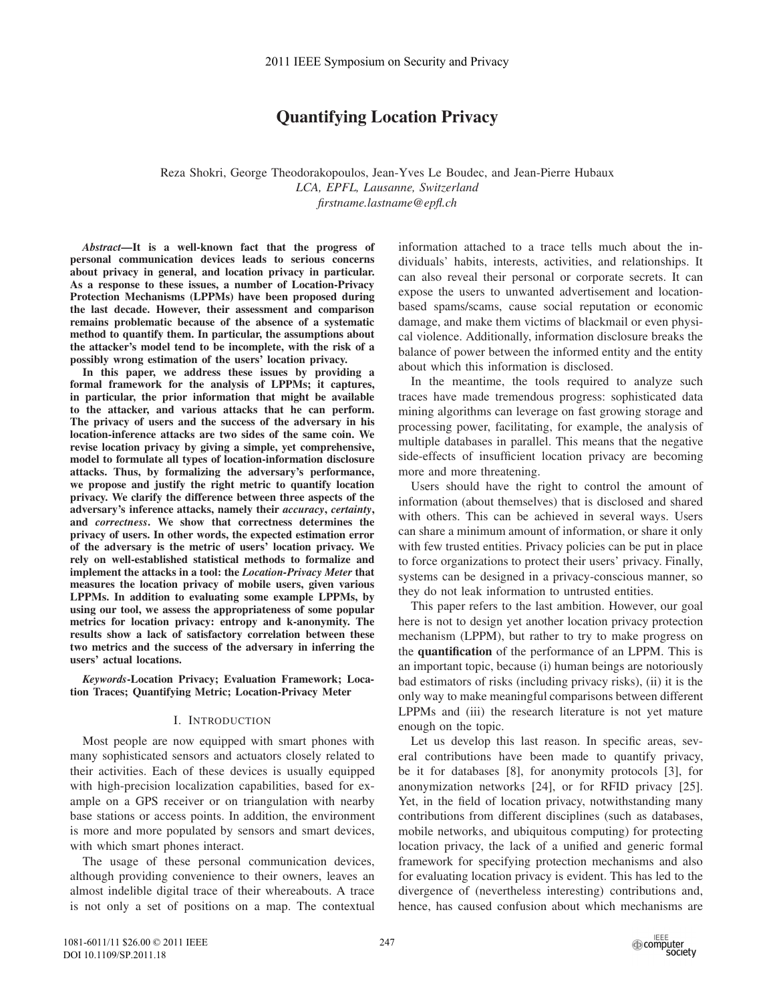# **Quantifying Location Privacy**

Reza Shokri, George Theodorakopoulos, Jean-Yves Le Boudec, and Jean-Pierre Hubaux *LCA, EPFL, Lausanne, Switzerland firstname.lastname@epfl.ch*

*Abstract***—It is a well-known fact that the progress of personal communication devices leads to serious concerns about privacy in general, and location privacy in particular. As a response to these issues, a number of Location-Privacy Protection Mechanisms (LPPMs) have been proposed during the last decade. However, their assessment and comparison remains problematic because of the absence of a systematic method to quantify them. In particular, the assumptions about the attacker's model tend to be incomplete, with the risk of a possibly wrong estimation of the users' location privacy.**

**In this paper, we address these issues by providing a formal framework for the analysis of LPPMs; it captures, in particular, the prior information that might be available to the attacker, and various attacks that he can perform. The privacy of users and the success of the adversary in his location-inference attacks are two sides of the same coin. We revise location privacy by giving a simple, yet comprehensive, model to formulate all types of location-information disclosure attacks. Thus, by formalizing the adversary's performance, we propose and justify the right metric to quantify location privacy. We clarify the difference between three aspects of the adversary's inference attacks, namely their** *accuracy***,** *certainty***, and** *correctness***. We show that correctness determines the privacy of users. In other words, the expected estimation error of the adversary is the metric of users' location privacy. We rely on well-established statistical methods to formalize and implement the attacks in a tool: the** *Location-Privacy Meter* **that measures the location privacy of mobile users, given various LPPMs. In addition to evaluating some example LPPMs, by using our tool, we assess the appropriateness of some popular metrics for location privacy: entropy and k-anonymity. The results show a lack of satisfactory correlation between these two metrics and the success of the adversary in inferring the users' actual locations.**

*Keywords***-Location Privacy; Evaluation Framework; Location Traces; Quantifying Metric; Location-Privacy Meter**

## I. INTRODUCTION

Most people are now equipped with smart phones with many sophisticated sensors and actuators closely related to their activities. Each of these devices is usually equipped with high-precision localization capabilities, based for example on a GPS receiver or on triangulation with nearby base stations or access points. In addition, the environment is more and more populated by sensors and smart devices, with which smart phones interact.

The usage of these personal communication devices, although providing convenience to their owners, leaves an almost indelible digital trace of their whereabouts. A trace is not only a set of positions on a map. The contextual

information attached to a trace tells much about the individuals' habits, interests, activities, and relationships. It can also reveal their personal or corporate secrets. It can expose the users to unwanted advertisement and locationbased spams/scams, cause social reputation or economic damage, and make them victims of blackmail or even physical violence. Additionally, information disclosure breaks the balance of power between the informed entity and the entity about which this information is disclosed.

In the meantime, the tools required to analyze such traces have made tremendous progress: sophisticated data mining algorithms can leverage on fast growing storage and processing power, facilitating, for example, the analysis of multiple databases in parallel. This means that the negative side-effects of insufficient location privacy are becoming more and more threatening.

Users should have the right to control the amount of information (about themselves) that is disclosed and shared with others. This can be achieved in several ways. Users can share a minimum amount of information, or share it only with few trusted entities. Privacy policies can be put in place to force organizations to protect their users' privacy. Finally, systems can be designed in a privacy-conscious manner, so they do not leak information to untrusted entities.

This paper refers to the last ambition. However, our goal here is not to design yet another location privacy protection mechanism (LPPM), but rather to try to make progress on the **quantification** of the performance of an LPPM. This is an important topic, because (i) human beings are notoriously bad estimators of risks (including privacy risks), (ii) it is the only way to make meaningful comparisons between different LPPMs and (iii) the research literature is not yet mature enough on the topic.

Let us develop this last reason. In specific areas, several contributions have been made to quantify privacy, be it for databases [8], for anonymity protocols [3], for anonymization networks [24], or for RFID privacy [25]. Yet, in the field of location privacy, notwithstanding many contributions from different disciplines (such as databases, mobile networks, and ubiquitous computing) for protecting location privacy, the lack of a unified and generic formal framework for specifying protection mechanisms and also for evaluating location privacy is evident. This has led to the divergence of (nevertheless interesting) contributions and, hence, has caused confusion about which mechanisms are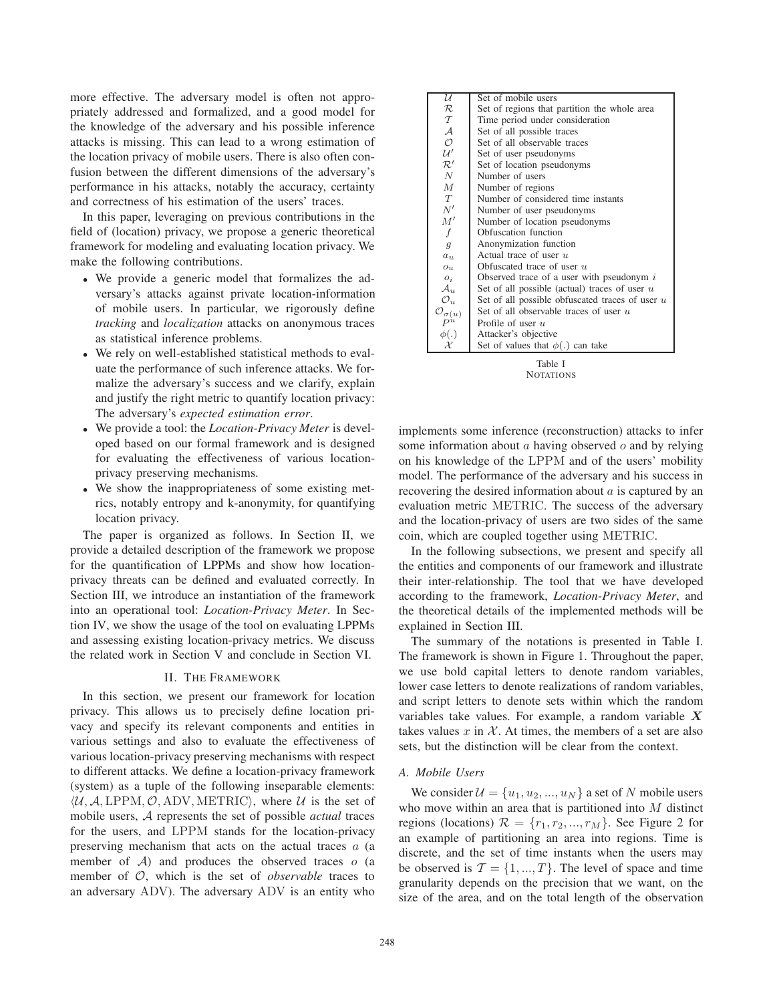more effective. The adversary model is often not appropriately addressed and formalized, and a good model for the knowledge of the adversary and his possible inference attacks is missing. This can lead to a wrong estimation of the location privacy of mobile users. There is also often confusion between the different dimensions of the adversary's performance in his attacks, notably the accuracy, certainty and correctness of his estimation of the users' traces.

In this paper, leveraging on previous contributions in the field of (location) privacy, we propose a generic theoretical framework for modeling and evaluating location privacy. We make the following contributions.

- We provide a generic model that formalizes the adversary's attacks against private location-information of mobile users. In particular, we rigorously define *tracking* and *localization* attacks on anonymous traces as statistical inference problems.
- We rely on well-established statistical methods to evaluate the performance of such inference attacks. We formalize the adversary's success and we clarify, explain and justify the right metric to quantify location privacy: The adversary's *expected estimation error*.
- We provide a tool: the *Location-Privacy Meter* is developed based on our formal framework and is designed for evaluating the effectiveness of various locationprivacy preserving mechanisms.
- We show the inappropriateness of some existing metrics, notably entropy and k-anonymity, for quantifying location privacy.

The paper is organized as follows. In Section II, we provide a detailed description of the framework we propose for the quantification of LPPMs and show how locationprivacy threats can be defined and evaluated correctly. In Section III, we introduce an instantiation of the framework into an operational tool: *Location-Privacy Meter*. In Section IV, we show the usage of the tool on evaluating LPPMs and assessing existing location-privacy metrics. We discuss the related work in Section V and conclude in Section VI.

#### II. THE FRAMEWORK

In this section, we present our framework for location privacy. This allows us to precisely define location privacy and specify its relevant components and entities in various settings and also to evaluate the effectiveness of various location-privacy preserving mechanisms with respect to different attacks. We define a location-privacy framework (system) as a tuple of the following inseparable elements:  $\langle U, A, LPPM, O, ADV, METRIC \rangle$ , where U is the set of mobile users, A represents the set of possible *actual* traces for the users, and LPPM stands for the location-privacy preserving mechanism that acts on the actual traces  $a$  (a member of  $A$ ) and produces the observed traces  $o$  (a member of O, which is the set of *observable* traces to an adversary ADV). The adversary ADV is an entity who

| и                                     | Set of mobile users                               |
|---------------------------------------|---------------------------------------------------|
| R                                     | Set of regions that partition the whole area      |
| $\tau$                                | Time period under consideration                   |
| $\mathcal A$                          | Set of all possible traces                        |
| $\mathcal{O}$                         | Set of all observable traces                      |
| $\mathcal{U}'$                        | Set of user pseudonyms                            |
| $\mathcal{R}'$                        | Set of location pseudonyms                        |
| $\boldsymbol{N}$                      | Number of users                                   |
| $\overline{M}$                        | Number of regions                                 |
| T                                     | Number of considered time instants                |
| N'                                    | Number of user pseudonyms                         |
| M'                                    | Number of location pseudonyms                     |
| $\mathbf f$                           | Obfuscation function                              |
| $\overline{g}$                        | Anonymization function                            |
| $a_{ii}$                              | Actual trace of user $u$                          |
| $O_{1L}$                              | Obfuscated trace of user $u$                      |
| $O_i$                                 | Observed trace of a user with pseudonym $i$       |
| $\mathcal{A}_u$                       | Set of all possible (actual) traces of user $u$   |
| $\mathcal{O}_u$                       | Set of all possible obfuscated traces of user $u$ |
| $\frac{\mathcal{O}_{\sigma(u)}}{P^u}$ | Set of all observable traces of user $u$          |
|                                       | Profile of user $u$                               |
| $\phi(.)$                             | Attacker's objective                              |
| X                                     | Set of values that $\phi(.)$ can take             |
|                                       |                                                   |



implements some inference (reconstruction) attacks to infer some information about  $a$  having observed  $o$  and by relying on his knowledge of the LPPM and of the users' mobility model. The performance of the adversary and his success in recovering the desired information about a is captured by an evaluation metric METRIC. The success of the adversary and the location-privacy of users are two sides of the same coin, which are coupled together using METRIC.

In the following subsections, we present and specify all the entities and components of our framework and illustrate their inter-relationship. The tool that we have developed according to the framework, *Location-Privacy Meter*, and the theoretical details of the implemented methods will be explained in Section III.

The summary of the notations is presented in Table I. The framework is shown in Figure 1. Throughout the paper, we use bold capital letters to denote random variables, lower case letters to denote realizations of random variables, and script letters to denote sets within which the random variables take values. For example, a random variable X takes values  $x$  in  $\mathcal{X}$ . At times, the members of a set are also sets, but the distinction will be clear from the context.

#### *A. Mobile Users*

We consider  $\mathcal{U} = \{u_1, u_2, ..., u_N\}$  a set of N mobile users who move within an area that is partitioned into M distinct regions (locations)  $\mathcal{R} = \{r_1, r_2, ..., r_M\}$ . See Figure 2 for an example of partitioning an area into regions. Time is discrete, and the set of time instants when the users may be observed is  $\mathcal{T} = \{1, ..., T\}$ . The level of space and time granularity depends on the precision that we want, on the size of the area, and on the total length of the observation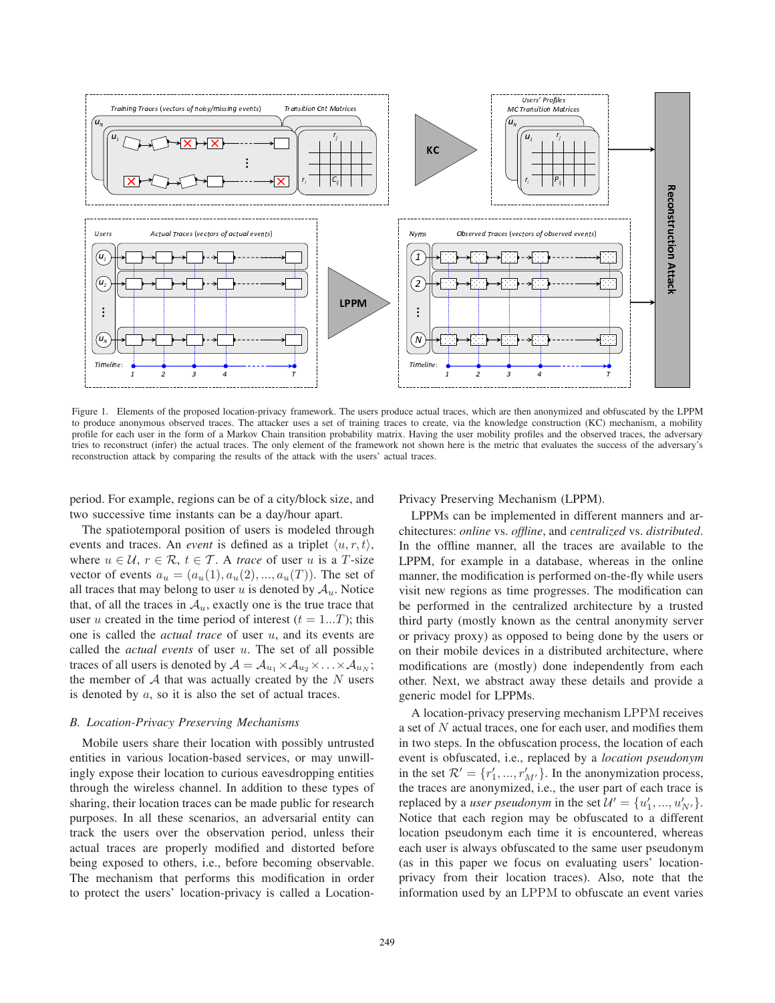

Figure 1. Elements of the proposed location-privacy framework. The users produce actual traces, which are then anonymized and obfuscated by the LPPM to produce anonymous observed traces. The attacker uses a set of training traces to create, via the knowledge construction (KC) mechanism, a mobility profile for each user in the form of a Markov Chain transition probability matrix. Having the user mobility profiles and the observed traces, the adversary tries to reconstruct (infer) the actual traces. The only element of the framework not shown here is the metric that evaluates the success of the adversary's reconstruction attack by comparing the results of the attack with the users' actual traces.

period. For example, regions can be of a city/block size, and two successive time instants can be a day/hour apart.

Privacy Preserving Mechanism (LPPM).

The spatiotemporal position of users is modeled through events and traces. An *event* is defined as a triplet  $\langle u, r, t \rangle$ , where  $u \in \mathcal{U}$ ,  $r \in \mathcal{R}$ ,  $t \in \mathcal{T}$ . A *trace* of user u is a T-size vector of events  $a_u = (a_u(1), a_u(2), ..., a_u(T))$ . The set of all traces that may belong to user u is denoted by  $A_u$ . Notice that, of all the traces in  $A_u$ , exactly one is the true trace that user u created in the time period of interest  $(t = 1...T)$ ; this one is called the *actual trace* of user u, and its events are called the *actual events* of user u. The set of all possible traces of all users is denoted by  $A = A_{u_1} \times A_{u_2} \times \ldots \times A_{u_N}$ ; the member of  $A$  that was actually created by the  $N$  users is denoted by  $a$ , so it is also the set of actual traces.

## *B. Location-Privacy Preserving Mechanisms*

Mobile users share their location with possibly untrusted entities in various location-based services, or may unwillingly expose their location to curious eavesdropping entities through the wireless channel. In addition to these types of sharing, their location traces can be made public for research purposes. In all these scenarios, an adversarial entity can track the users over the observation period, unless their actual traces are properly modified and distorted before being exposed to others, i.e., before becoming observable. The mechanism that performs this modification in order to protect the users' location-privacy is called a LocationLPPM, for example in a database, whereas in the online manner, the modification is performed on-the-fly while users visit new regions as time progresses. The modification can be performed in the centralized architecture by a trusted third party (mostly known as the central anonymity server or privacy proxy) as opposed to being done by the users or on their mobile devices in a distributed architecture, where modifications are (mostly) done independently from each other. Next, we abstract away these details and provide a generic model for LPPMs. A location-privacy preserving mechanism LPPM receives

LPPMs can be implemented in different manners and architectures: *online* vs. *offline*, and *centralized* vs. *distributed*. In the offline manner, all the traces are available to the

a set of N actual traces, one for each user, and modifies them in two steps. In the obfuscation process, the location of each event is obfuscated, i.e., replaced by a *location pseudonym* in the set  $\mathcal{R}' = \{r'_1, ..., r'_{M'}\}$ . In the anonymization process, the traces are anonymized, i.e., the user part of each trace is replaced by a *user pseudonym* in the set  $\mathcal{U}' = \{u'_1, ..., u'_{N'}\}.$ Notice that each region may be obfuscated to a different location pseudonym each time it is encountered, whereas each user is always obfuscated to the same user pseudonym (as in this paper we focus on evaluating users' locationprivacy from their location traces). Also, note that the information used by an LPPM to obfuscate an event varies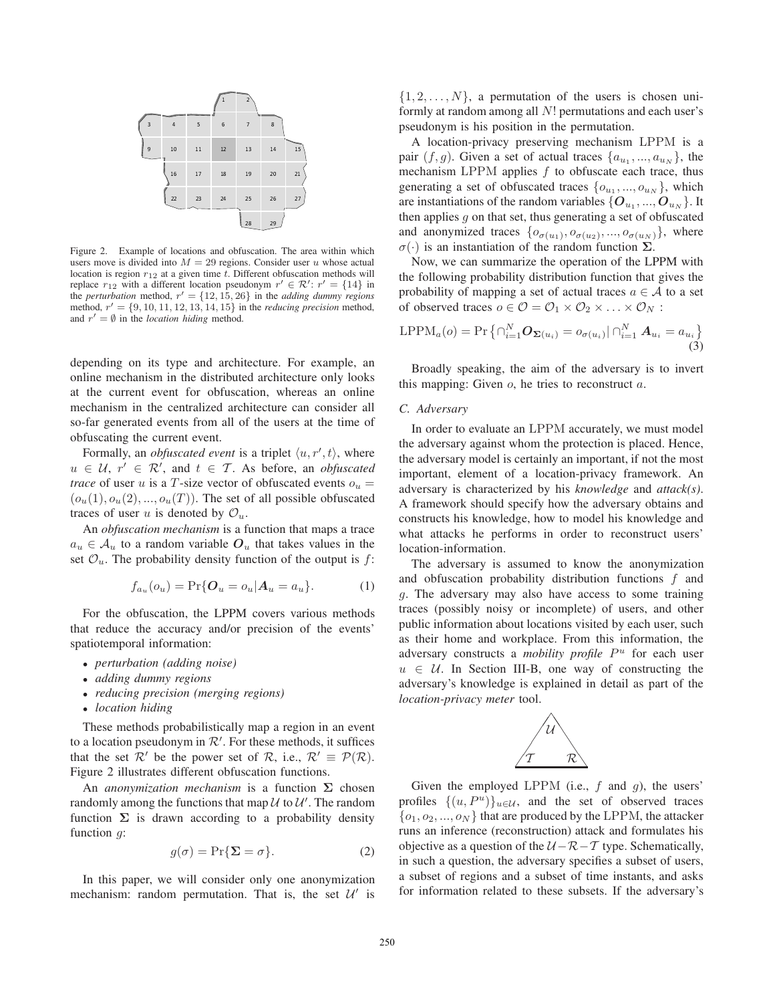

Figure 2. Example of locations and obfuscation. The area within which users move is divided into  $M = 29$  regions. Consider user u whose actual location is region  $r_{12}$  at a given time t. Different obfuscation methods will replace  $r_{12}$  with a different location pseudonym  $r' \in \mathcal{R}'$ :  $r' = \{14\}$  in the *perturbation* method,  $r' = \{12, 15, 26\}$  in the *adding dummy regions* method,  $r' = \{9, 10, 11, 12, 13, 14, 15\}$  in the *reducing precision* method, and  $r' = \emptyset$  in the *location hiding* method.

depending on its type and architecture. For example, an online mechanism in the distributed architecture only looks at the current event for obfuscation, whereas an online mechanism in the centralized architecture can consider all so-far generated events from all of the users at the time of obfuscating the current event.

Formally, an *obfuscated event* is a triplet  $\langle u, r', t \rangle$ , where  $u \in \mathcal{U}, r' \in \mathcal{R}'$ , and  $t \in \mathcal{T}$ . As before, an *obfuscated trace* of user u is a T-size vector of obfuscated events  $o_u$  =  $(o_u(1), o_u(2), ..., o_u(T))$ . The set of all possible obfuscated traces of user u is denoted by  $\mathcal{O}_u$ .

An *obfuscation mechanism* is a function that maps a trace  $a_u \in A_u$  to a random variable  $O_u$  that takes values in the set  $\mathcal{O}_u$ . The probability density function of the output is f:

$$
f_{a_u}(o_u) = \Pr\{O_u = o_u | A_u = a_u\}.
$$
 (1)

For the obfuscation, the LPPM covers various methods that reduce the accuracy and/or precision of the events' spatiotemporal information:

- *perturbation (adding noise)*
- *adding dummy regions*
- *reducing precision (merging regions)*
- *location hiding*

These methods probabilistically map a region in an event to a location pseudonym in  $\mathcal{R}'$ . For these methods, it suffices that the set  $\mathcal{R}'$  be the power set of  $\mathcal{R}$ , i.e.,  $\mathcal{R}' \equiv \mathcal{P}(\mathcal{R})$ . Figure 2 illustrates different obfuscation functions.

An *anonymization mechanism* is a function Σ chosen randomly among the functions that map  $\mathcal U$  to  $\mathcal U'$ . The random function  $\Sigma$  is drawn according to a probability density function  $q$ :

$$
g(\sigma) = \Pr{\Sigma = \sigma}.
$$
 (2)

In this paper, we will consider only one anonymization mechanism: random permutation. That is, the set  $\mathcal{U}'$  is

 $\{1, 2, \ldots, N\}$ , a permutation of the users is chosen uniformly at random among all  $N!$  permutations and each user's pseudonym is his position in the permutation.

A location-privacy preserving mechanism LPPM is a pair  $(f, g)$ . Given a set of actual traces  $\{a_{u_1}, ..., a_{u_N}\}\$ , the mechanism LPPM applies  $f$  to obfuscate each trace, thus generating a set of obfuscated traces  $\{o_{u_1},...,o_{u_N}\}\$ , which are instantiations of the random variables  $\{\boldsymbol{O}_{u_1},...,\boldsymbol{O}_{u_N}\}$ . It then applies  $g$  on that set, thus generating a set of obfuscated and anonymized traces  $\{o_{\sigma(u_1)}, o_{\sigma(u_2)}, ..., o_{\sigma(u_N)}\}$ , where  $\sigma(\cdot)$  is an instantiation of the random function  $\Sigma$ .

Now, we can summarize the operation of the LPPM with the following probability distribution function that gives the probability of mapping a set of actual traces  $a \in A$  to a set of observed traces  $o \in \mathcal{O} = \mathcal{O}_1 \times \mathcal{O}_2 \times \ldots \times \mathcal{O}_N$ :

$$
\text{LPPM}_a(o) = \Pr\left\{\bigcap_{i=1}^N \mathbf{O}_{\Sigma(u_i)} = o_{\sigma(u_i)} \big| \bigcap_{i=1}^N \mathbf{A}_{u_i} = a_{u_i}\right\}
$$
\n(3)

Broadly speaking, the aim of the adversary is to invert this mapping: Given  $o$ , he tries to reconstruct  $a$ .

## *C. Adversary*

In order to evaluate an LPPM accurately, we must model the adversary against whom the protection is placed. Hence, the adversary model is certainly an important, if not the most important, element of a location-privacy framework. An adversary is characterized by his *knowledge* and *attack(s)*. A framework should specify how the adversary obtains and constructs his knowledge, how to model his knowledge and what attacks he performs in order to reconstruct users' location-information.

The adversary is assumed to know the anonymization and obfuscation probability distribution functions  $f$  and g. The adversary may also have access to some training traces (possibly noisy or incomplete) of users, and other public information about locations visited by each user, such as their home and workplace. From this information, the adversary constructs a *mobility profile*  $P^u$  for each user  $u \in \mathcal{U}$ . In Section III-B, one way of constructing the adversary's knowledge is explained in detail as part of the *location-privacy meter* tool.



Given the employed LPPM (i.e.,  $f$  and  $g$ ), the users' profiles  $\{(u, P^u)\}_{u \in \mathcal{U}}$ , and the set of observed traces  $\{o_1, o_2, ..., o_N\}$  that are produced by the LPPM, the attacker runs an inference (reconstruction) attack and formulates his objective as a question of the  $U - R - T$  type. Schematically, in such a question, the adversary specifies a subset of users, a subset of regions and a subset of time instants, and asks for information related to these subsets. If the adversary's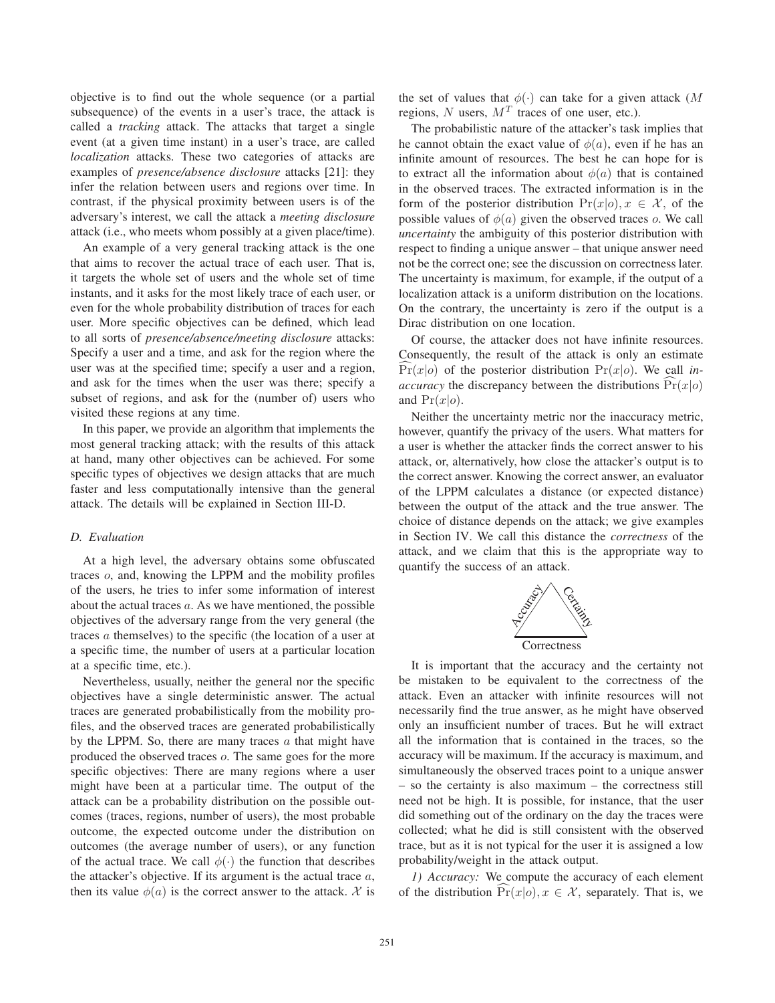objective is to find out the whole sequence (or a partial subsequence) of the events in a user's trace, the attack is called a *tracking* attack. The attacks that target a single event (at a given time instant) in a user's trace, are called *localization* attacks. These two categories of attacks are examples of *presence/absence disclosure* attacks [21]: they infer the relation between users and regions over time. In contrast, if the physical proximity between users is of the adversary's interest, we call the attack a *meeting disclosure* attack (i.e., who meets whom possibly at a given place/time).

An example of a very general tracking attack is the one that aims to recover the actual trace of each user. That is, it targets the whole set of users and the whole set of time instants, and it asks for the most likely trace of each user, or even for the whole probability distribution of traces for each user. More specific objectives can be defined, which lead to all sorts of *presence/absence/meeting disclosure* attacks: Specify a user and a time, and ask for the region where the user was at the specified time; specify a user and a region, and ask for the times when the user was there; specify a subset of regions, and ask for the (number of) users who visited these regions at any time.

In this paper, we provide an algorithm that implements the most general tracking attack; with the results of this attack at hand, many other objectives can be achieved. For some specific types of objectives we design attacks that are much faster and less computationally intensive than the general attack. The details will be explained in Section III-D.

#### *D. Evaluation*

At a high level, the adversary obtains some obfuscated traces o, and, knowing the LPPM and the mobility profiles of the users, he tries to infer some information of interest about the actual traces  $a$ . As we have mentioned, the possible objectives of the adversary range from the very general (the traces a themselves) to the specific (the location of a user at a specific time, the number of users at a particular location at a specific time, etc.).

Nevertheless, usually, neither the general nor the specific objectives have a single deterministic answer. The actual traces are generated probabilistically from the mobility profiles, and the observed traces are generated probabilistically by the LPPM. So, there are many traces  $\alpha$  that might have produced the observed traces o. The same goes for the more specific objectives: There are many regions where a user might have been at a particular time. The output of the attack can be a probability distribution on the possible outcomes (traces, regions, number of users), the most probable outcome, the expected outcome under the distribution on outcomes (the average number of users), or any function of the actual trace. We call  $\phi(\cdot)$  the function that describes the attacker's objective. If its argument is the actual trace  $a$ , then its value  $\phi(a)$  is the correct answer to the attack. X is the set of values that  $\phi(\cdot)$  can take for a given attack (M regions, N users,  $M<sup>T</sup>$  traces of one user, etc.).

The probabilistic nature of the attacker's task implies that he cannot obtain the exact value of  $\phi(a)$ , even if he has an infinite amount of resources. The best he can hope for is to extract all the information about  $\phi(a)$  that is contained in the observed traces. The extracted information is in the form of the posterior distribution  $Pr(x|o)$ ,  $x \in \mathcal{X}$ , of the possible values of  $\phi(a)$  given the observed traces o. We call *uncertainty* the ambiguity of this posterior distribution with respect to finding a unique answer – that unique answer need not be the correct one; see the discussion on correctness later. The uncertainty is maximum, for example, if the output of a localization attack is a uniform distribution on the locations. On the contrary, the uncertainty is zero if the output is a Dirac distribution on one location.

Of course, the attacker does not have infinite resources. Consequently, the result of the attack is only an estimate  $Pr(x|o)$  of the posterior distribution  $Pr(x|o)$ . We call *inaccuracy* the discrepancy between the distributions  $Pr(x|o)$ and  $Pr(x|o)$ .

Neither the uncertainty metric nor the inaccuracy metric, however, quantify the privacy of the users. What matters for a user is whether the attacker finds the correct answer to his attack, or, alternatively, how close the attacker's output is to the correct answer. Knowing the correct answer, an evaluator of the LPPM calculates a distance (or expected distance) between the output of the attack and the true answer. The choice of distance depends on the attack; we give examples in Section IV. We call this distance the *correctness* of the attack, and we claim that this is the appropriate way to quantify the success of an attack.



It is important that the accuracy and the certainty not be mistaken to be equivalent to the correctness of the attack. Even an attacker with infinite resources will not necessarily find the true answer, as he might have observed only an insufficient number of traces. But he will extract all the information that is contained in the traces, so the accuracy will be maximum. If the accuracy is maximum, and simultaneously the observed traces point to a unique answer – so the certainty is also maximum – the correctness still need not be high. It is possible, for instance, that the user did something out of the ordinary on the day the traces were collected; what he did is still consistent with the observed trace, but as it is not typical for the user it is assigned a low probability/weight in the attack output.

*1) Accuracy:* We compute the accuracy of each element of the distribution  $Pr(x|o), x \in \mathcal{X}$ , separately. That is, we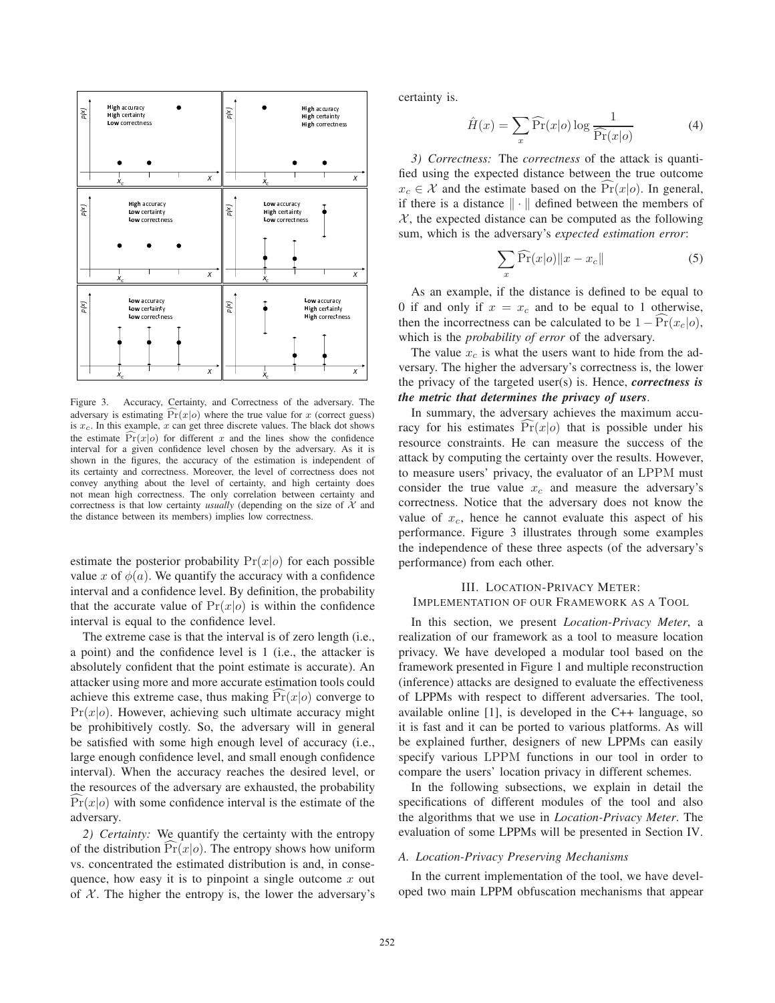

Figure 3. Accuracy, Certainty, and Correctness of the adversary. The adversary is estimating  $Pr(x|o)$  where the true value for x (correct guess) is  $x_c$ . In this example, x can get three discrete values. The black dot shows the estimate  $\Pr(x|o)$  for different x and the lines show the confidence interval for a given confidence level chosen by the adversary. As it is shown in the figures, the accuracy of the estimation is independent of its certainty and correctness. Moreover, the level of correctness does not convey anything about the level of certainty, and high certainty does not mean high correctness. The only correlation between certainty and correctness is that low certainty *usually* (depending on the size of  $X$  and the distance between its members) implies low correctness.

estimate the posterior probability  $Pr(x|o)$  for each possible value x of  $\phi(a)$ . We quantify the accuracy with a confidence interval and a confidence level. By definition, the probability that the accurate value of  $Pr(x|o)$  is within the confidence interval is equal to the confidence level.

The extreme case is that the interval is of zero length (i.e., a point) and the confidence level is 1 (i.e., the attacker is absolutely confident that the point estimate is accurate). An attacker using more and more accurate estimation tools could achieve this extreme case, thus making  $Pr(x|o)$  converge to  $Pr(x|o)$ . However, achieving such ultimate accuracy might be prohibitively costly. So, the adversary will in general be satisfied with some high enough level of accuracy (i.e., large enough confidence level, and small enough confidence interval). When the accuracy reaches the desired level, or the resources of the adversary are exhausted, the probability  $Pr(x|o)$  with some confidence interval is the estimate of the adversary.

*2) Certainty:* We quantify the certainty with the entropy of the distribution  $Pr(x|o)$ . The entropy shows how uniform vs. concentrated the estimated distribution is and, in consequence, how easy it is to pinpoint a single outcome  $x$  out of  $X$ . The higher the entropy is, the lower the adversary's certainty is.

$$
\hat{H}(x) = \sum_{x} \widehat{\Pr}(x|o) \log \frac{1}{\widehat{\Pr}(x|o)}
$$
(4)

*3) Correctness:* The *correctness* of the attack is quantified using the expected distance between the true outcome  $x_c \in \mathcal{X}$  and the estimate based on the  $\widehat{\Pr}(x|o)$ . In general, if there is a distance  $\|\cdot\|$  defined between the members of  $X$ , the expected distance can be computed as the following sum, which is the adversary's *expected estimation error*:

$$
\sum_{x} \widehat{\Pr}(x|o) \|x - x_c\| \tag{5}
$$

As an example, if the distance is defined to be equal to 0 if and only if  $x = x_c$  and to be equal to 1 otherwise, then the incorrectness can be calculated to be  $1 - \overline{\Pr}(x_c|o)$ , which is the *probability of error* of the adversary.

The value  $x_c$  is what the users want to hide from the adversary. The higher the adversary's correctness is, the lower the privacy of the targeted user(s) is. Hence, *correctness is the metric that determines the privacy of users*.

In summary, the adversary achieves the maximum accuracy for his estimates  $Pr(x|o)$  that is possible under his resource constraints. He can measure the success of the attack by computing the certainty over the results. However, to measure users' privacy, the evaluator of an LPPM must consider the true value  $x_c$  and measure the adversary's correctness. Notice that the adversary does not know the value of  $x_c$ , hence he cannot evaluate this aspect of his performance. Figure 3 illustrates through some examples the independence of these three aspects (of the adversary's performance) from each other.

# III. LOCATION-PRIVACY METER: IMPLEMENTATION OF OUR FRAMEWORK AS A TOOL

In this section, we present *Location-Privacy Meter*, a realization of our framework as a tool to measure location privacy. We have developed a modular tool based on the framework presented in Figure 1 and multiple reconstruction (inference) attacks are designed to evaluate the effectiveness of LPPMs with respect to different adversaries. The tool, available online [1], is developed in the C++ language, so it is fast and it can be ported to various platforms. As will be explained further, designers of new LPPMs can easily specify various LPPM functions in our tool in order to compare the users' location privacy in different schemes.

In the following subsections, we explain in detail the specifications of different modules of the tool and also the algorithms that we use in *Location-Privacy Meter*. The evaluation of some LPPMs will be presented in Section IV.

#### *A. Location-Privacy Preserving Mechanisms*

In the current implementation of the tool, we have developed two main LPPM obfuscation mechanisms that appear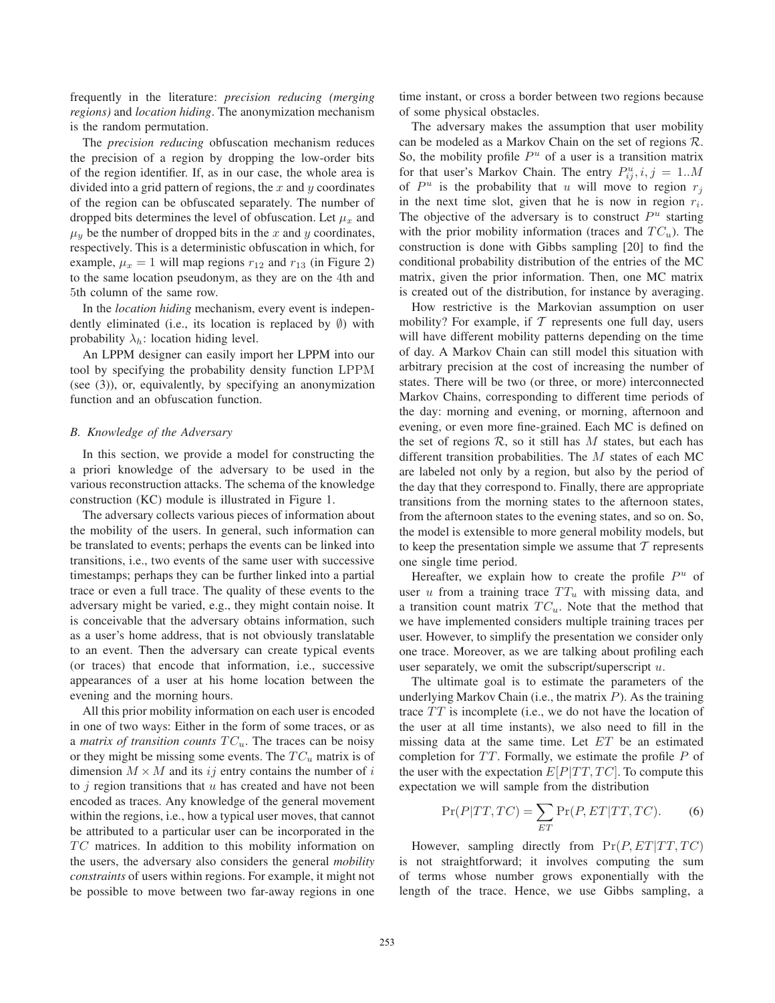frequently in the literature: *precision reducing (merging regions)* and *location hiding*. The anonymization mechanism is the random permutation.

The *precision reducing* obfuscation mechanism reduces the precision of a region by dropping the low-order bits of the region identifier. If, as in our case, the whole area is divided into a grid pattern of regions, the  $x$  and  $y$  coordinates of the region can be obfuscated separately. The number of dropped bits determines the level of obfuscation. Let  $\mu_x$  and  $\mu_y$  be the number of dropped bits in the x and y coordinates, respectively. This is a deterministic obfuscation in which, for example,  $\mu_x = 1$  will map regions  $r_{12}$  and  $r_{13}$  (in Figure 2) to the same location pseudonym, as they are on the 4th and 5th column of the same row.

In the *location hiding* mechanism, every event is independently eliminated (i.e., its location is replaced by  $\emptyset$ ) with probability  $\lambda_h$ : location hiding level.

An LPPM designer can easily import her LPPM into our tool by specifying the probability density function LPPM (see (3)), or, equivalently, by specifying an anonymization function and an obfuscation function.

## *B. Knowledge of the Adversary*

In this section, we provide a model for constructing the a priori knowledge of the adversary to be used in the various reconstruction attacks. The schema of the knowledge construction (KC) module is illustrated in Figure 1.

The adversary collects various pieces of information about the mobility of the users. In general, such information can be translated to events; perhaps the events can be linked into transitions, i.e., two events of the same user with successive timestamps; perhaps they can be further linked into a partial trace or even a full trace. The quality of these events to the adversary might be varied, e.g., they might contain noise. It is conceivable that the adversary obtains information, such as a user's home address, that is not obviously translatable to an event. Then the adversary can create typical events (or traces) that encode that information, i.e., successive appearances of a user at his home location between the evening and the morning hours.

All this prior mobility information on each user is encoded in one of two ways: Either in the form of some traces, or as a *matrix of transition counts*  $TC_u$ . The traces can be noisy or they might be missing some events. The  $TC_u$  matrix is of dimension  $M \times M$  and its ij entry contains the number of i to  $j$  region transitions that  $u$  has created and have not been encoded as traces. Any knowledge of the general movement within the regions, i.e., how a typical user moves, that cannot be attributed to a particular user can be incorporated in the  $TC$  matrices. In addition to this mobility information on the users, the adversary also considers the general *mobility constraints* of users within regions. For example, it might not be possible to move between two far-away regions in one

time instant, or cross a border between two regions because of some physical obstacles.

The adversary makes the assumption that user mobility can be modeled as a Markov Chain on the set of regions  $\mathcal{R}$ . So, the mobility profile  $P^u$  of a user is a transition matrix for that user's Markov Chain. The entry  $P_{ij}^u, i, j = 1..M$ of  $P^u$  is the probability that u will move to region  $r_j$ in the next time slot, given that he is now in region  $r_i$ . The objective of the adversary is to construct  $P^u$  starting with the prior mobility information (traces and  $TC_u$ ). The construction is done with Gibbs sampling [20] to find the conditional probability distribution of the entries of the MC matrix, given the prior information. Then, one MC matrix is created out of the distribution, for instance by averaging.

How restrictive is the Markovian assumption on user mobility? For example, if  $T$  represents one full day, users will have different mobility patterns depending on the time of day. A Markov Chain can still model this situation with arbitrary precision at the cost of increasing the number of states. There will be two (or three, or more) interconnected Markov Chains, corresponding to different time periods of the day: morning and evening, or morning, afternoon and evening, or even more fine-grained. Each MC is defined on the set of regions  $R$ , so it still has  $M$  states, but each has different transition probabilities. The M states of each MC are labeled not only by a region, but also by the period of the day that they correspond to. Finally, there are appropriate transitions from the morning states to the afternoon states, from the afternoon states to the evening states, and so on. So, the model is extensible to more general mobility models, but to keep the presentation simple we assume that  $\mathcal T$  represents one single time period.

Hereafter, we explain how to create the profile  $P^u$  of user  $u$  from a training trace  $TT_u$  with missing data, and a transition count matrix  $TC_u$ . Note that the method that we have implemented considers multiple training traces per user. However, to simplify the presentation we consider only one trace. Moreover, as we are talking about profiling each user separately, we omit the subscript/superscript  $u$ .

The ultimate goal is to estimate the parameters of the underlying Markov Chain (i.e., the matrix  $P$ ). As the training trace  $TT$  is incomplete (i.e., we do not have the location of the user at all time instants), we also need to fill in the missing data at the same time. Let ET be an estimated completion for  $TT$ . Formally, we estimate the profile  $P$  of the user with the expectation  $E[P|TT, TC]$ . To compute this expectation we will sample from the distribution

$$
\Pr(P|TT,TC) = \sum_{ET} \Pr(P,ET|TT,TC). \tag{6}
$$

However, sampling directly from  $Pr(P, ET | TT, TC)$ is not straightforward; it involves computing the sum of terms whose number grows exponentially with the length of the trace. Hence, we use Gibbs sampling, a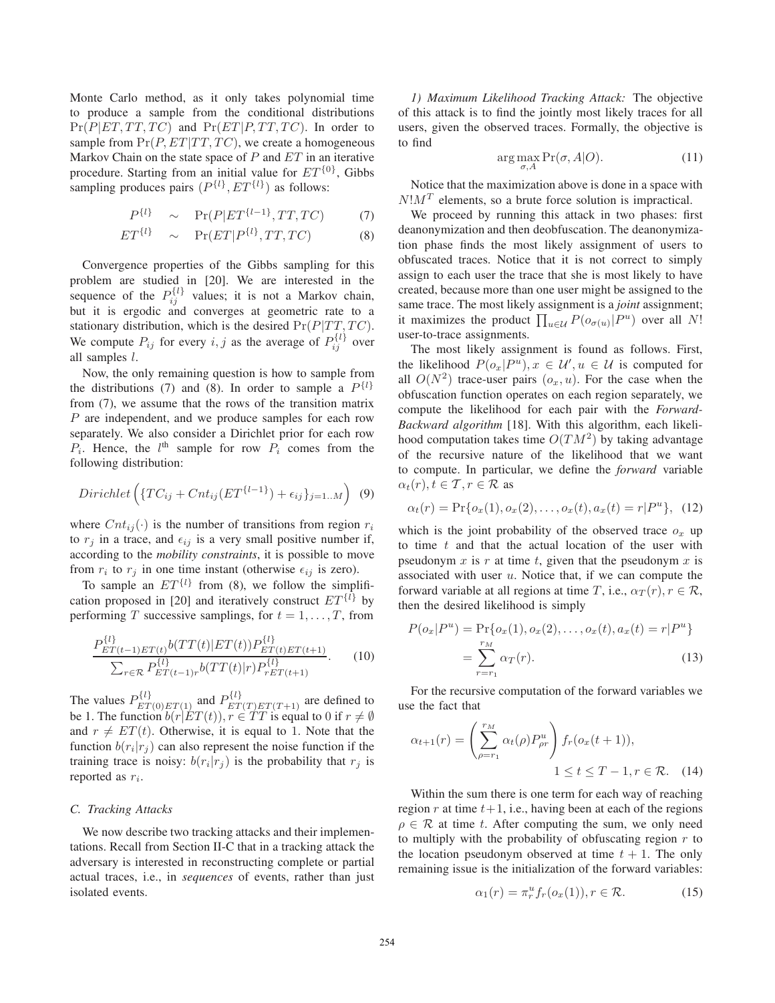Monte Carlo method, as it only takes polynomial time to produce a sample from the conditional distributions  $Pr(P|ET, TT, TC)$  and  $Pr(ET|P, TT, TC)$ . In order to sample from  $Pr(P, ET | TT, TC)$ , we create a homogeneous Markov Chain on the state space of  $P$  and  $ET$  in an iterative procedure. Starting from an initial value for  $ET^{\{0\}}$ , Gibbs sampling produces pairs  $(P^{\{l\}}, ET^{\{l\}})$  as follows:

$$
P^{\{l\}} \sim \Pr(P|ET^{\{l-1\}}, TT, TC) \tag{7}
$$

$$
ET^{\{l\}} \sim \Pr(ET|P^{\{l\}}, TT, TC) \tag{8}
$$

Convergence properties of the Gibbs sampling for this problem are studied in [20]. We are interested in the sequence of the  $P_{ij}^{\{l\}}$  values; it is not a Markov chain, but it is ergodic and converges at geometric rate to a stationary distribution, which is the desired  $Pr(P|TT, TC)$ . We compute  $P_{ij}$  for every  $i, j$  as the average of  $P_{ij}^{\{l\}}$  over all samples l.

Now, the only remaining question is how to sample from the distributions (7) and (8). In order to sample a  $P^{\{l\}}$ from (7), we assume that the rows of the transition matrix P are independent, and we produce samples for each row separately. We also consider a Dirichlet prior for each row  $P_i$ . Hence, the  $l^{\text{th}}$  sample for row  $P_i$  comes from the following distribution:

$$
Dirichlet\left(\{TC_{ij} + Cnt_{ij}(ET^{\{l-1\}}) + \epsilon_{ij}\}_{j=1..M}\right) (9)
$$

where  $Cnt_{ij}(\cdot)$  is the number of transitions from region  $r_i$ to  $r_j$  in a trace, and  $\epsilon_{ij}$  is a very small positive number if, according to the *mobility constraints*, it is possible to move from  $r_i$  to  $r_j$  in one time instant (otherwise  $\epsilon_{ij}$  is zero).

To sample an  $ET^{\{l\}}$  from (8), we follow the simplification proposed in [20] and iteratively construct  $ET^{\{l\}}$  by performing T successive samplings, for  $t = 1, \ldots, T$ , from

$$
\frac{P_{ET(t-1)ET(t)}^{l}}{\sum_{r \in \mathcal{R}} P_{ET(t-1)r}^{l}} b(TT(t)|ET(t)) P_{ET(t)ET(t+1)}^{l}}.
$$
 (10)

The values  $P_{ET(0)ET(1)}^{\{l\}}$  and  $P_{ET(T)ET(T+1)}^{\{l\}}$  are defined to be 1. The function  $b(r)\hat{E}T(t)$ ,  $r \in \hat{T}T$  is equal to 0 if  $r \neq \emptyset$ and  $r \neq ET(t)$ . Otherwise, it is equal to 1. Note that the function  $b(r_i|r_j)$  can also represent the noise function if the training trace is noisy:  $b(r_i|r_j)$  is the probability that  $r_j$  is reported as  $r_i$ .

# *C. Tracking Attacks*

We now describe two tracking attacks and their implementations. Recall from Section II-C that in a tracking attack the adversary is interested in reconstructing complete or partial actual traces, i.e., in *sequences* of events, rather than just isolated events.

*1) Maximum Likelihood Tracking Attack:* The objective of this attack is to find the jointly most likely traces for all users, given the observed traces. Formally, the objective is to find

$$
\arg\max_{\sigma, A} \Pr(\sigma, A|O). \tag{11}
$$

Notice that the maximization above is done in a space with  $N!M<sup>T</sup>$  elements, so a brute force solution is impractical.

We proceed by running this attack in two phases: first deanonymization and then deobfuscation. The deanonymization phase finds the most likely assignment of users to obfuscated traces. Notice that it is not correct to simply assign to each user the trace that she is most likely to have created, because more than one user might be assigned to the same trace. The most likely assignment is a *joint* assignment; it maximizes the product  $\prod_{u \in \mathcal{U}} P(o_{\sigma(u)} | P^u)$  over all N! user-to-trace assignments.

The most likely assignment is found as follows. First, the likelihood  $P(o_x|P^u), x \in \mathcal{U}', u \in \mathcal{U}$  is computed for all  $O(N^2)$  trace-user pairs  $(o_x, u)$ . For the case when the obfuscation function operates on each region separately, we compute the likelihood for each pair with the *Forward-Backward algorithm* [18]. With this algorithm, each likelihood computation takes time  $O(TM^2)$  by taking advantage of the recursive nature of the likelihood that we want to compute. In particular, we define the *forward* variable  $\alpha_t(r)$ ,  $t \in \mathcal{T}$ ,  $r \in \mathcal{R}$  as

$$
\alpha_t(r) = \Pr\{o_x(1), o_x(2), \dots, o_x(t), a_x(t) = r | P^u \}, \tag{12}
$$

which is the joint probability of the observed trace  $o<sub>x</sub>$  up to time  $t$  and that the actual location of the user with pseudonym x is r at time t, given that the pseudonym x is associated with user  $u$ . Notice that, if we can compute the forward variable at all regions at time T, i.e.,  $\alpha_T(r)$ ,  $r \in \mathcal{R}$ , then the desired likelihood is simply

$$
P(o_x|P^u) = \Pr\{o_x(1), o_x(2), \dots, o_x(t), a_x(t) = r|P^u\}
$$
  
= 
$$
\sum_{r=r_1}^{r_M} \alpha_T(r).
$$
 (13)

For the recursive computation of the forward variables we use the fact that

$$
\alpha_{t+1}(r) = \left(\sum_{\rho=r_1}^{r_M} \alpha_t(\rho) P_{\rho r}^u \right) f_r(o_x(t+1)),
$$
  

$$
1 \le t \le T-1, r \in \mathcal{R}. \quad (14)
$$

Within the sum there is one term for each way of reaching region r at time  $t+1$ , i.e., having been at each of the regions  $\rho \in \mathcal{R}$  at time t. After computing the sum, we only need to multiply with the probability of obfuscating region  $r$  to the location pseudonym observed at time  $t + 1$ . The only remaining issue is the initialization of the forward variables:

$$
\alpha_1(r) = \pi_r^u f_r(o_x(1)), r \in \mathcal{R}.\tag{15}
$$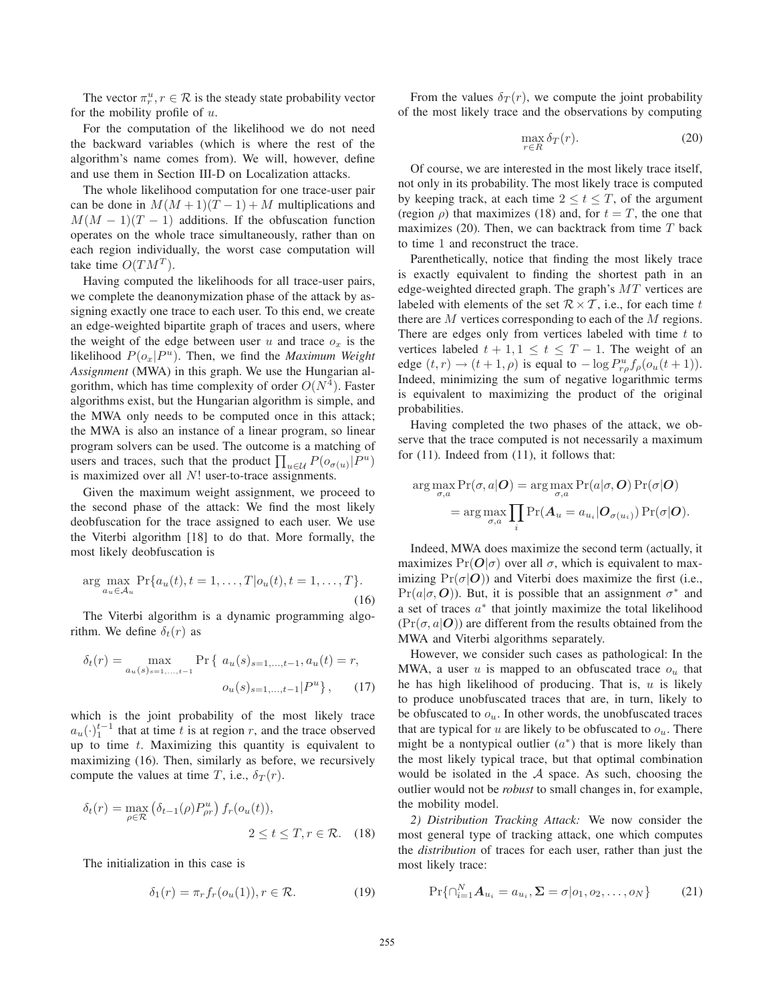The vector  $\pi_r^u$ ,  $r \in \mathcal{R}$  is the steady state probability vector for the mobility profile of  $u$ .

For the computation of the likelihood we do not need the backward variables (which is where the rest of the algorithm's name comes from). We will, however, define and use them in Section III-D on Localization attacks.

The whole likelihood computation for one trace-user pair can be done in  $M(M + 1)(T - 1) + M$  multiplications and  $M(M-1)(T-1)$  additions. If the obfuscation function operates on the whole trace simultaneously, rather than on each region individually, the worst case computation will take time  $O(TM^T)$ .

Having computed the likelihoods for all trace-user pairs, we complete the deanonymization phase of the attack by assigning exactly one trace to each user. To this end, we create an edge-weighted bipartite graph of traces and users, where the weight of the edge between user  $u$  and trace  $o_x$  is the likelihood  $P(o_x|P^u)$ . Then, we find the *Maximum Weight Assignment* (MWA) in this graph. We use the Hungarian algorithm, which has time complexity of order  $O(N^4)$ . Faster algorithms exist, but the Hungarian algorithm is simple, and the MWA only needs to be computed once in this attack; the MWA is also an instance of a linear program, so linear program solvers can be used. The outcome is a matching of users and traces, such that the product  $\prod_{u \in \mathcal{U}} P(o_{\sigma(u)} | P^u)$ is maximized over all N! user-to-trace assignments.

Given the maximum weight assignment, we proceed to the second phase of the attack: We find the most likely deobfuscation for the trace assigned to each user. We use the Viterbi algorithm [18] to do that. More formally, the most likely deobfuscation is

$$
\arg \max_{a_u \in \mathcal{A}_u} \Pr\{a_u(t), t = 1, \dots, T | o_u(t), t = 1, \dots, T\}.
$$
\n(16)

The Viterbi algorithm is a dynamic programming algorithm. We define  $\delta_t(r)$  as

$$
\delta_t(r) = \max_{a_u(s)_{s=1,\dots,t-1}} \Pr\left\{ a_u(s)_{s=1,\dots,t-1}, a_u(t) = r, \right. \\
o_u(s)_{s=1,\dots,t-1} | P^u \}, \quad (17)
$$

which is the joint probability of the most likely trace  $a_u(\cdot)_1^{t-1}$  that at time t is at region r, and the trace observed up to time  $t$ . Maximizing this quantity is equivalent to maximizing (16). Then, similarly as before, we recursively compute the values at time T, i.e.,  $\delta_T(r)$ .

$$
\delta_t(r) = \max_{\rho \in \mathcal{R}} \left( \delta_{t-1}(\rho) P_{\rho r}^u \right) f_r(o_u(t)),
$$
  
 
$$
2 \le t \le T, r \in \mathcal{R}. \quad (18)
$$

The initialization in this case is

$$
\delta_1(r) = \pi_r f_r(o_u(1)), r \in \mathcal{R}.
$$
 (19)

From the values  $\delta_T(r)$ , we compute the joint probability of the most likely trace and the observations by computing

$$
\max_{r \in R} \delta_T(r). \tag{20}
$$

Of course, we are interested in the most likely trace itself, not only in its probability. The most likely trace is computed by keeping track, at each time  $2 \le t \le T$ , of the argument (region  $\rho$ ) that maximizes (18) and, for  $t = T$ , the one that maximizes (20). Then, we can backtrack from time  $T$  back to time 1 and reconstruct the trace.

Parenthetically, notice that finding the most likely trace is exactly equivalent to finding the shortest path in an edge-weighted directed graph. The graph's MT vertices are labeled with elements of the set  $\mathcal{R} \times \mathcal{T}$ , i.e., for each time t there are  $M$  vertices corresponding to each of the  $M$  regions. There are edges only from vertices labeled with time  $t$  to vertices labeled  $t + 1, 1 \le t \le T - 1$ . The weight of an edge  $(t, r) \rightarrow (t + 1, \rho)$  is equal to  $-\log P_{r\rho}^u f_\rho(o_u(t + 1)).$ Indeed, minimizing the sum of negative logarithmic terms is equivalent to maximizing the product of the original probabilities.

Having completed the two phases of the attack, we observe that the trace computed is not necessarily a maximum for (11). Indeed from (11), it follows that:

$$
\arg\max_{\sigma,a} \Pr(\sigma, a|\mathbf{O}) = \arg\max_{\sigma,a} \Pr(a|\sigma, \mathbf{O}) \Pr(\sigma|\mathbf{O})
$$

$$
= \arg\max_{\sigma,a} \prod_{i} \Pr(\mathbf{A}_u = a_{u_i}|\mathbf{O}_{\sigma(u_i)}) \Pr(\sigma|\mathbf{O}).
$$

Indeed, MWA does maximize the second term (actually, it maximizes  $Pr(O|\sigma)$  over all  $\sigma$ , which is equivalent to maximizing  $Pr(\sigma|O)$  and Viterbi does maximize the first (i.e.,  $Pr(a|\sigma, O)$ ). But, it is possible that an assignment  $\sigma^*$  and a set of traces  $a^*$  that jointly maximize the total likelihood  $(\Pr(\sigma, a | \mathbf{O}))$  are different from the results obtained from the MWA and Viterbi algorithms separately.

However, we consider such cases as pathological: In the MWA, a user  $u$  is mapped to an obfuscated trace  $o_u$  that he has high likelihood of producing. That is,  $u$  is likely to produce unobfuscated traces that are, in turn, likely to be obfuscated to  $o_u$ . In other words, the unobfuscated traces that are typical for  $u$  are likely to be obfuscated to  $o_u$ . There might be a nontypical outlier  $(a^*)$  that is more likely than the most likely typical trace, but that optimal combination would be isolated in the  $A$  space. As such, choosing the outlier would not be *robust* to small changes in, for example, the mobility model.

*2) Distribution Tracking Attack:* We now consider the most general type of tracking attack, one which computes the *distribution* of traces for each user, rather than just the most likely trace:

$$
\Pr\{\cap_{i=1}^{N} A_{u_i} = a_{u_i}, \Sigma = \sigma | o_1, o_2, \dots, o_N\} \tag{21}
$$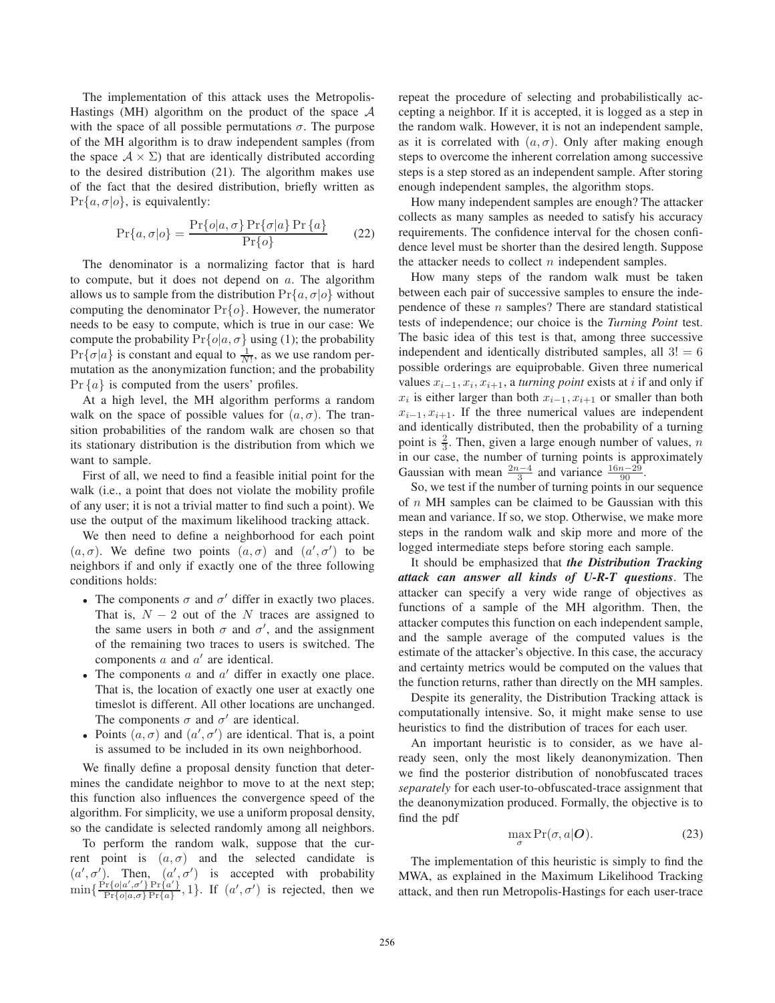The implementation of this attack uses the Metropolis-Hastings (MH) algorithm on the product of the space  $A$ with the space of all possible permutations  $\sigma$ . The purpose of the MH algorithm is to draw independent samples (from the space  $A \times \Sigma$ ) that are identically distributed according to the desired distribution (21). The algorithm makes use of the fact that the desired distribution, briefly written as  $Pr{a, \sigma|o}$ , is equivalently:

$$
\Pr\{a,\sigma|o\} = \frac{\Pr\{o|a,\sigma\} \Pr\{\sigma|a\} \Pr\{a\}}{\Pr\{o\}} \tag{22}
$$

The denominator is a normalizing factor that is hard to compute, but it does not depend on  $a$ . The algorithm allows us to sample from the distribution  $Pr{a, \sigma|o}$  without computing the denominator  $Pr\{o\}$ . However, the numerator needs to be easy to compute, which is true in our case: We compute the probability  $Pr\{o|a, \sigma\}$  using (1); the probability  $Pr{\{\sigma | a\}}$  is constant and equal to  $\frac{1}{N!}$ , as we use random permutation as the anonymization function; and the probability  $Pr\{a\}$  is computed from the users' profiles.

At a high level, the MH algorithm performs a random walk on the space of possible values for  $(a, \sigma)$ . The transition probabilities of the random walk are chosen so that its stationary distribution is the distribution from which we want to sample.

First of all, we need to find a feasible initial point for the walk (*i.e.*, a point that does not violate the mobility profile of any user; it is not a trivial matter to find such a point). We use the output of the maximum likelihood tracking attack.

We then need to define a neighborhood for each point  $(a, \sigma)$ . We define two points  $(a, \sigma)$  and  $(a', \sigma')$  to be neighbors if and only if exactly one of the three following conditions holds:

- The components  $\sigma$  and  $\sigma'$  differ in exactly two places. That is,  $N - 2$  out of the N traces are assigned to the same users in both  $\sigma$  and  $\sigma'$ , and the assignment of the remaining two traces to users is switched. The components  $a$  and  $a'$  are identical.
- The components  $a$  and  $a'$  differ in exactly one place. That is, the location of exactly one user at exactly one timeslot is different. All other locations are unchanged. The components  $\sigma$  and  $\sigma'$  are identical.
- Points  $(a, \sigma)$  and  $(a', \sigma')$  are identical. That is, a point is assumed to be included in its own neighborhood.

We finally define a proposal density function that determines the candidate neighbor to move to at the next step; this function also influences the convergence speed of the algorithm. For simplicity, we use a uniform proposal density, so the candidate is selected randomly among all neighbors.

To perform the random walk, suppose that the current point is  $(a, \sigma)$  and the selected candidate is  $(a', \sigma')$ . Then,  $(a', \sigma')$  is accepted with probability  $\min\{\frac{\Pr\{o|a',\sigma'\} \Pr\{a'\}}{\Pr\{o|a,\sigma\} \Pr\{a\}}\}$  $\frac{\Pr\{o|a',\sigma'\}\Pr\{a'\}}{\Pr\{o|a,\sigma\}\Pr\{a\}}$ , 1}. If  $(a',\sigma')$  is rejected, then we repeat the procedure of selecting and probabilistically accepting a neighbor. If it is accepted, it is logged as a step in the random walk. However, it is not an independent sample, as it is correlated with  $(a, \sigma)$ . Only after making enough steps to overcome the inherent correlation among successive steps is a step stored as an independent sample. After storing enough independent samples, the algorithm stops.

How many independent samples are enough? The attacker collects as many samples as needed to satisfy his accuracy requirements. The confidence interval for the chosen confidence level must be shorter than the desired length. Suppose the attacker needs to collect  $n$  independent samples.

How many steps of the random walk must be taken between each pair of successive samples to ensure the independence of these  $n$  samples? There are standard statistical tests of independence; our choice is the *Turning Point* test. The basic idea of this test is that, among three successive independent and identically distributed samples, all  $3! = 6$ possible orderings are equiprobable. Given three numerical values  $x_{i-1}, x_i, x_{i+1}$ , a *turning point* exists at *i* if and only if  $x_i$  is either larger than both  $x_{i-1}, x_{i+1}$  or smaller than both  $x_{i-1}, x_{i+1}$ . If the three numerical values are independent and identically distributed, then the probability of a turning point is  $\frac{2}{3}$ . Then, given a large enough number of values, n in our case, the number of turning points is approximately Gaussian with mean  $\frac{2n-4}{3}$  and variance  $\frac{16n-29}{90}$ .

So, we test if the number of turning points in our sequence of  $n$  MH samples can be claimed to be Gaussian with this mean and variance. If so, we stop. Otherwise, we make more steps in the random walk and skip more and more of the logged intermediate steps before storing each sample.

It should be emphasized that *the Distribution Tracking attack can answer all kinds of U-R-T questions*. The attacker can specify a very wide range of objectives as functions of a sample of the MH algorithm. Then, the attacker computes this function on each independent sample, and the sample average of the computed values is the estimate of the attacker's objective. In this case, the accuracy and certainty metrics would be computed on the values that the function returns, rather than directly on the MH samples.

Despite its generality, the Distribution Tracking attack is computationally intensive. So, it might make sense to use heuristics to find the distribution of traces for each user.

An important heuristic is to consider, as we have already seen, only the most likely deanonymization. Then we find the posterior distribution of nonobfuscated traces *separately* for each user-to-obfuscated-trace assignment that the deanonymization produced. Formally, the objective is to find the pdf

$$
\max_{\sigma} \Pr(\sigma, a | \mathbf{O}). \tag{23}
$$

The implementation of this heuristic is simply to find the MWA, as explained in the Maximum Likelihood Tracking attack, and then run Metropolis-Hastings for each user-trace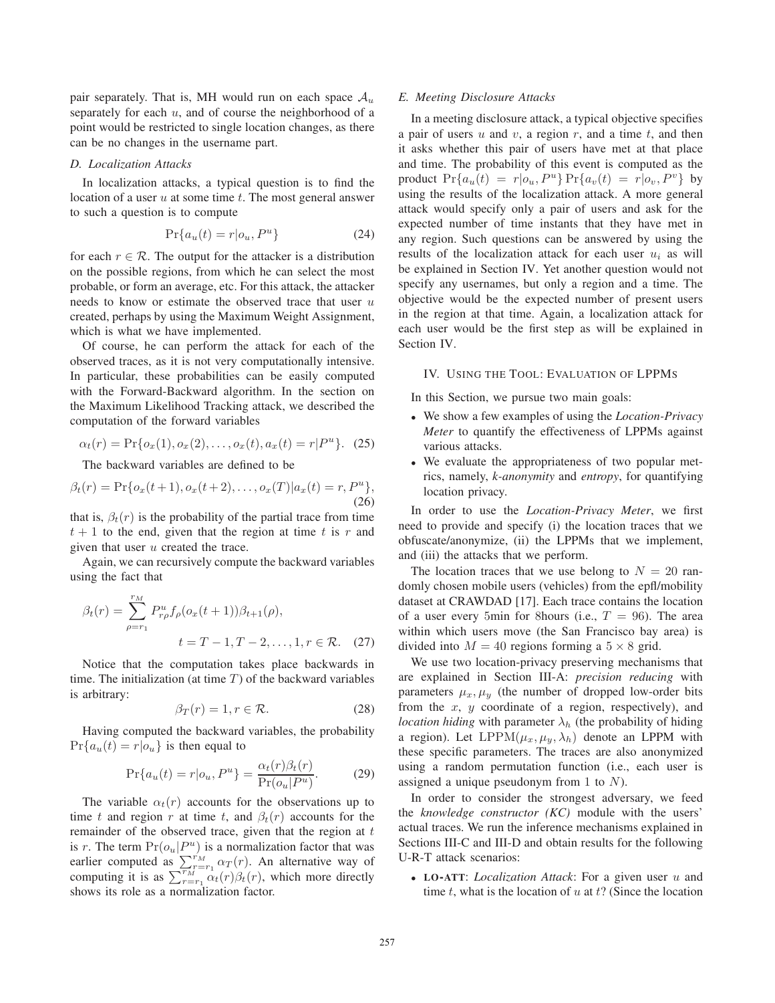pair separately. That is, MH would run on each space  $A_u$ separately for each  $u$ , and of course the neighborhood of a point would be restricted to single location changes, as there can be no changes in the username part.

#### *D. Localization Attacks*

In localization attacks, a typical question is to find the location of a user  $u$  at some time  $t$ . The most general answer to such a question is to compute

$$
Pr{a_u(t) = r|o_u, P^u}
$$
 (24)

for each  $r \in \mathcal{R}$ . The output for the attacker is a distribution on the possible regions, from which he can select the most probable, or form an average, etc. For this attack, the attacker needs to know or estimate the observed trace that user  $u$ created, perhaps by using the Maximum Weight Assignment, which is what we have implemented.

Of course, he can perform the attack for each of the observed traces, as it is not very computationally intensive. In particular, these probabilities can be easily computed with the Forward-Backward algorithm. In the section on the Maximum Likelihood Tracking attack, we described the computation of the forward variables

$$
\alpha_t(r) = \Pr\{o_x(1), o_x(2), \dots, o_x(t), a_x(t) = r | P^u\}. \tag{25}
$$

The backward variables are defined to be

$$
\beta_t(r) = \Pr\{o_x(t+1), o_x(t+2), \dots, o_x(T)|a_x(t) = r, P^u\},\tag{26}
$$

that is,  $\beta_t(r)$  is the probability of the partial trace from time  $t + 1$  to the end, given that the region at time t is r and given that user  $u$  created the trace.

Again, we can recursively compute the backward variables using the fact that

$$
\beta_t(r) = \sum_{\rho=r_1}^{r_M} P_{r\rho}^u f_\rho(o_x(t+1)) \beta_{t+1}(\rho),
$$
  

$$
t = T - 1, T - 2, ..., 1, r \in \mathcal{R}. \quad (27)
$$

Notice that the computation takes place backwards in time. The initialization (at time  $T$ ) of the backward variables is arbitrary:

$$
\beta_T(r) = 1, r \in \mathcal{R}.\tag{28}
$$

Having computed the backward variables, the probability  $Pr{a_u(t) = r|o_u}$  is then equal to

$$
\Pr\{a_u(t) = r|o_u, P^u\} = \frac{\alpha_t(r)\beta_t(r)}{\Pr(o_u|P^u)}.
$$
\n(29)

The variable  $\alpha_t(r)$  accounts for the observations up to time t and region r at time t, and  $\beta_t(r)$  accounts for the remainder of the observed trace, given that the region at t is r. The term  $Pr(o_u|P^u)$  is a normalization factor that was earlier computed as  $\sum_{r=r_1}^{r_M} \alpha_T(r)$ . An alternative way of computing it is as  $\sum_{r=r_1}^{r_M} \alpha_t(r) \beta_t(r)$ , which more directly shows its role as a normalization factor.

# *E. Meeting Disclosure Attacks*

In a meeting disclosure attack, a typical objective specifies a pair of users  $u$  and  $v$ , a region  $r$ , and a time  $t$ , and then it asks whether this pair of users have met at that place and time. The probability of this event is computed as the product  $Pr{a_u(t) = r|o_u, P^u} Pr{a_v(t) = r|o_v, P^v}$  by using the results of the localization attack. A more general attack would specify only a pair of users and ask for the expected number of time instants that they have met in any region. Such questions can be answered by using the results of the localization attack for each user  $u_i$  as will be explained in Section IV. Yet another question would not specify any usernames, but only a region and a time. The objective would be the expected number of present users in the region at that time. Again, a localization attack for each user would be the first step as will be explained in Section IV.

#### IV. USING THE TOOL: EVALUATION OF LPPMS

In this Section, we pursue two main goals:

- We show a few examples of using the *Location-Privacy Meter* to quantify the effectiveness of LPPMs against various attacks.
- We evaluate the appropriateness of two popular metrics, namely, *k-anonymity* and *entropy*, for quantifying location privacy.

In order to use the *Location-Privacy Meter*, we first need to provide and specify (i) the location traces that we obfuscate/anonymize, (ii) the LPPMs that we implement, and (iii) the attacks that we perform.

The location traces that we use belong to  $N = 20$  randomly chosen mobile users (vehicles) from the epfl/mobility dataset at CRAWDAD [17]. Each trace contains the location of a user every 5min for 8hours (i.e.,  $T = 96$ ). The area within which users move (the San Francisco bay area) is divided into  $M = 40$  regions forming a  $5 \times 8$  grid.

We use two location-privacy preserving mechanisms that are explained in Section III-A: *precision reducing* with parameters  $\mu_x, \mu_y$  (the number of dropped low-order bits from the  $x$ ,  $y$  coordinate of a region, respectively), and *location hiding* with parameter  $\lambda_h$  (the probability of hiding a region). Let  $LPPM(\mu_x, \mu_y, \lambda_h)$  denote an LPPM with these specific parameters. The traces are also anonymized using a random permutation function (i.e., each user is assigned a unique pseudonym from 1 to  $N$ ).

In order to consider the strongest adversary, we feed the *knowledge constructor (KC)* module with the users' actual traces. We run the inference mechanisms explained in Sections III-C and III-D and obtain results for the following U-R-T attack scenarios:

• **LO-ATT**: *Localization Attack*: For a given user u and time  $t$ , what is the location of  $u$  at  $t$ ? (Since the location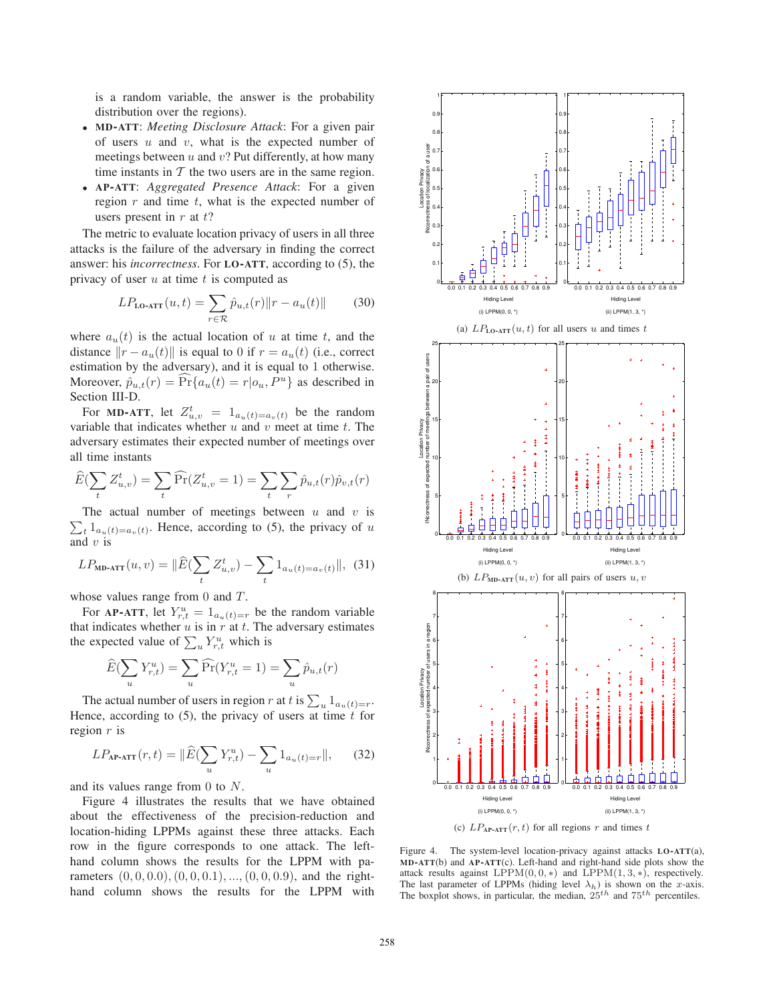is a random variable, the answer is the probability distribution over the regions).

- **MD-ATT**: *Meeting Disclosure Attack*: For a given pair of users  $u$  and  $v$ , what is the expected number of meetings between  $u$  and  $v$ ? Put differently, at how many time instants in  $T$  the two users are in the same region.
- **AP-ATT**: *Aggregated Presence Attack*: For a given region  $r$  and time  $t$ , what is the expected number of users present in  $r$  at  $t$ ?

The metric to evaluate location privacy of users in all three attacks is the failure of the adversary in finding the correct answer: his *incorrectness*. For **LO-ATT**, according to (5), the privacy of user  $u$  at time  $t$  is computed as

$$
LP_{\text{LO-ATT}}(u, t) = \sum_{r \in \mathcal{R}} \hat{p}_{u,t}(r) ||r - a_u(t)|| \tag{30}
$$

where  $a_u(t)$  is the actual location of u at time t, and the distance  $||r - a_u(t)||$  is equal to 0 if  $r = a_u(t)$  (i.e., correct estimation by the adversary), and it is equal to 1 otherwise. Moreover,  $\hat{p}_{u,t}(r) = \Pr\{a_u(t) = r|o_u, P^u\}$  as described in Section III-D.

For **MD-ATT**, let  $Z_{u,v}^t = 1_{a_u(t) = a_v(t)}$  be the random variable that indicates whether  $u$  and  $v$  meet at time  $t$ . The adversary estimates their expected number of meetings over all time instants

$$
\widehat{E}(\sum_{t}Z_{u,v}^{t}) = \sum_{t}\widehat{\Pr}(Z_{u,v}^{t}=1) = \sum_{t}\sum_{r}\widehat{p}_{u,t}(r)\widehat{p}_{v,t}(r)
$$

 $\sum_{t} 1_{a_u(t)=a_v(t)}$ . Hence, according to (5), the privacy of u The actual number of meetings between  $u$  and  $v$  is and  $v$  is

$$
LP_{\text{MD-ATT}}(u, v) = \|\widehat{E}(\sum_{t} Z_{u,v}^{t}) - \sum_{t} 1_{a_u(t) = a_v(t)}\|, \tag{31}
$$

whose values range from  $0$  and  $T$ .

For **AP-ATT**, let  $Y_{r,t}^u = 1_{a_u(t)=r}$  be the random variable that indicates whether  $u$  is in  $r$  at  $t$ . The adversary estimates the expected value of  $\sum_{u} Y_{r,t}^{u}$  which is

$$
\widehat{E}(\sum_{u} Y_{r,t}^{u}) = \sum_{u} \widehat{\Pr}(Y_{r,t}^{u} = 1) = \sum_{u} \widehat{p}_{u,t}(r)
$$

The actual number of users in region r at t is  $\sum_{u} 1_{a_u(t)=r}$ . Hence, according to  $(5)$ , the privacy of users at time t for region  $r$  is

$$
LP_{\mathbf{AP-ATT}}(r,t) = \|\widehat{E}(\sum_{u} Y_{r,t}^{u}) - \sum_{u} 1_{a_u(t)=r} \|,
$$
 (32)

and its values range from 0 to N.

Figure 4 illustrates the results that we have obtained about the effectiveness of the precision-reduction and location-hiding LPPMs against these three attacks. Each row in the figure corresponds to one attack. The lefthand column shows the results for the LPPM with parameters  $(0, 0, 0.0), (0, 0, 0.1), ..., (0, 0, 0.9)$ , and the righthand column shows the results for the LPPM with



Figure 4. The system-level location-privacy against attacks **LO-ATT**(a), **MD-ATT**(b) and **AP-ATT**(c). Left-hand and right-hand side plots show the attack results against LPPM $(0, 0, *)$  and LPPM $(1, 3, *)$ , respectively. The last parameter of LPPMs (hiding level  $\lambda_h$ ) is shown on the x-axis. The boxplot shows, in particular, the median,  $25^{th}$  and  $75^{th}$  percentiles.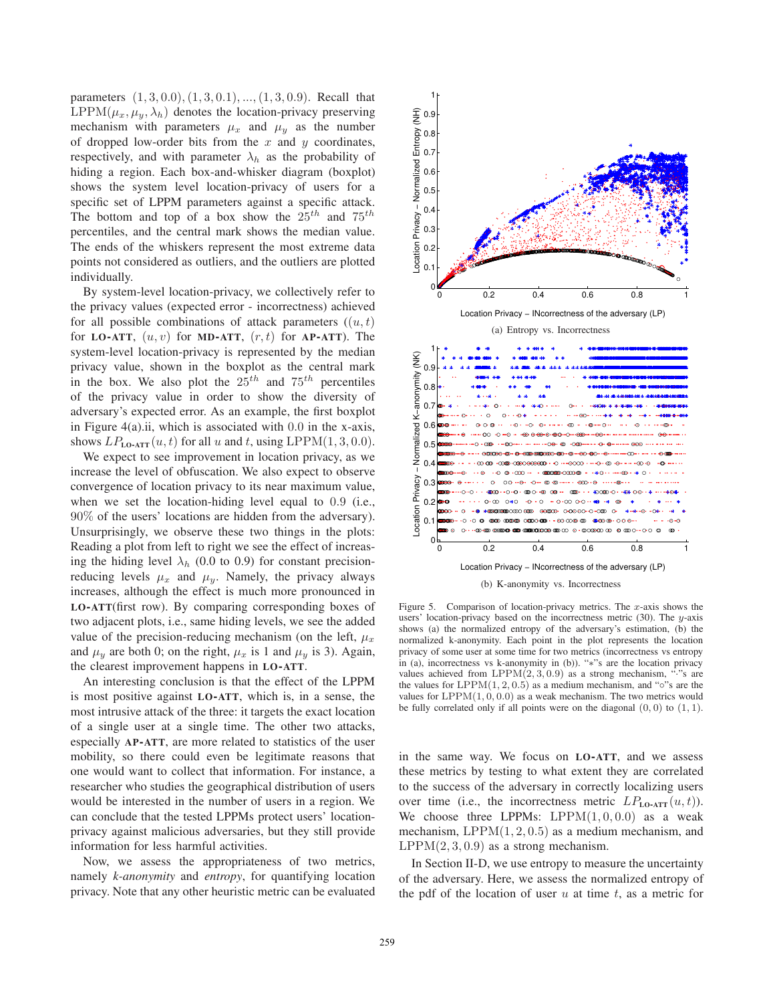parameters  $(1, 3, 0.0), (1, 3, 0.1), ..., (1, 3, 0.9)$ . Recall that  $\text{LPPM}(\mu_x, \mu_y, \lambda_h)$  denotes the location-privacy preserving mechanism with parameters  $\mu_x$  and  $\mu_y$  as the number of dropped low-order bits from the  $x$  and  $y$  coordinates, respectively, and with parameter  $\lambda_h$  as the probability of hiding a region. Each box-and-whisker diagram (boxplot) shows the system level location-privacy of users for a specific set of LPPM parameters against a specific attack. The bottom and top of a box show the  $25^{th}$  and  $75^{th}$ percentiles, and the central mark shows the median value. The ends of the whiskers represent the most extreme data points not considered as outliers, and the outliers are plotted individually.

By system-level location-privacy, we collectively refer to the privacy values (expected error - incorrectness) achieved for all possible combinations of attack parameters  $((u, t)$ for **LO-ATT**,  $(u, v)$  for **MD-ATT**,  $(r, t)$  for **AP-ATT**). The system-level location-privacy is represented by the median privacy value, shown in the boxplot as the central mark in the box. We also plot the  $25^{th}$  and  $75^{th}$  percentiles of the privacy value in order to show the diversity of adversary's expected error. As an example, the first boxplot in Figure 4(a).ii, which is associated with 0.0 in the x-axis, shows  $LP_{\text{LO-ATT}}(u, t)$  for all u and t, using LPPM $(1, 3, 0.0)$ .

We expect to see improvement in location privacy, as we increase the level of obfuscation. We also expect to observe convergence of location privacy to its near maximum value, when we set the location-hiding level equal to 0.9 (i.e., 90% of the users' locations are hidden from the adversary). Unsurprisingly, we observe these two things in the plots: Reading a plot from left to right we see the effect of increasing the hiding level  $\lambda_h$  (0.0 to 0.9) for constant precisionreducing levels  $\mu_x$  and  $\mu_y$ . Namely, the privacy always increases, although the effect is much more pronounced in **LO-ATT**(first row). By comparing corresponding boxes of two adjacent plots, i.e., same hiding levels, we see the added value of the precision-reducing mechanism (on the left,  $\mu_x$ and  $\mu_y$  are both 0; on the right,  $\mu_x$  is 1 and  $\mu_y$  is 3). Again, the clearest improvement happens in **LO-ATT**.

An interesting conclusion is that the effect of the LPPM is most positive against **LO-ATT**, which is, in a sense, the most intrusive attack of the three: it targets the exact location of a single user at a single time. The other two attacks, especially **AP-ATT**, are more related to statistics of the user mobility, so there could even be legitimate reasons that one would want to collect that information. For instance, a researcher who studies the geographical distribution of users would be interested in the number of users in a region. We can conclude that the tested LPPMs protect users' locationprivacy against malicious adversaries, but they still provide information for less harmful activities.

Now, we assess the appropriateness of two metrics, namely *k-anonymity* and *entropy*, for quantifying location privacy. Note that any other heuristic metric can be evaluated



Figure 5. Comparison of location-privacy metrics. The  $x$ -axis shows the users' location-privacy based on the incorrectness metric  $(30)$ . The y-axis shows (a) the normalized entropy of the adversary's estimation, (b) the normalized k-anonymity. Each point in the plot represents the location privacy of some user at some time for two metrics (incorrectness vs entropy in (a), incorrectness vs k-anonymity in (b)). "∗"s are the location privacy values achieved from  $LPPM(2, 3, 0.9)$  as a strong mechanism, "·"s are the values for  $LPPM(1, 2, 0.5)$  as a medium mechanism, and " $\circ$ "s are the values for  $LPPM(1, 0, 0.0)$  as a weak mechanism. The two metrics would be fully correlated only if all points were on the diagonal  $(0, 0)$  to  $(1, 1)$ .

in the same way. We focus on **LO-ATT**, and we assess these metrics by testing to what extent they are correlated to the success of the adversary in correctly localizing users over time (i.e., the incorrectness metric  $LP_{LO-ATT}(u, t)$ ). We choose three LPPMs:  $LPPM(1, 0, 0.0)$  as a weak mechanism,  $LPPM(1, 2, 0.5)$  as a medium mechanism, and  $LPPM(2, 3, 0.9)$  as a strong mechanism.

In Section II-D, we use entropy to measure the uncertainty of the adversary. Here, we assess the normalized entropy of the pdf of the location of user  $u$  at time  $t$ , as a metric for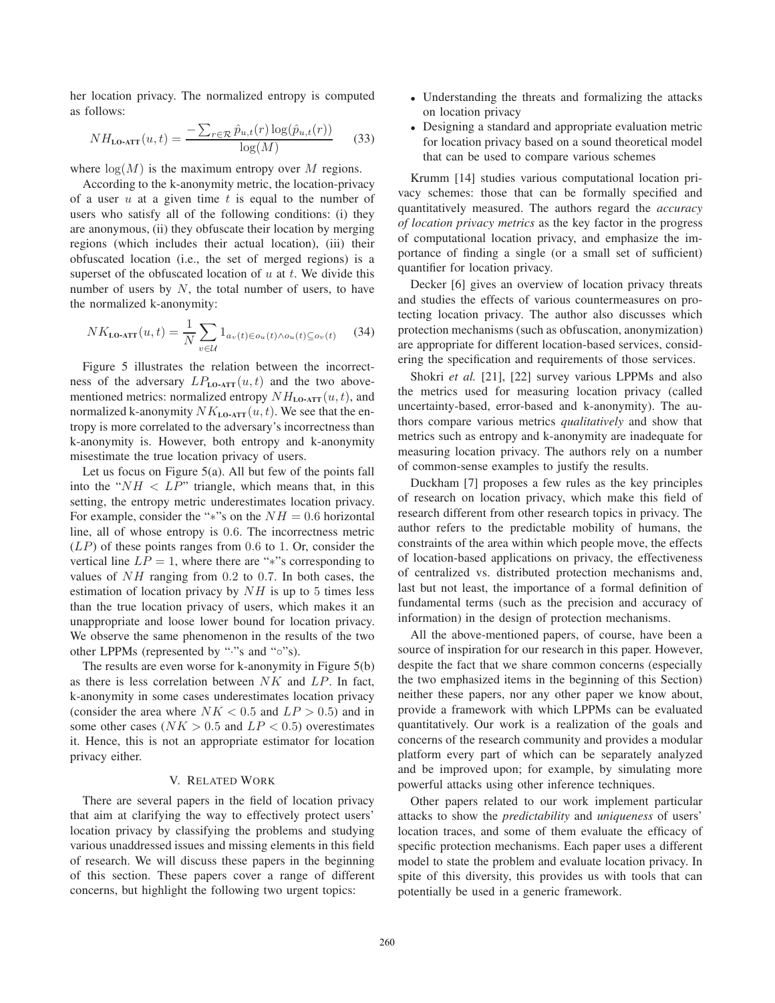her location privacy. The normalized entropy is computed as follows:

$$
NH_{\text{LO-ATT}}(u,t) = \frac{-\sum_{r \in \mathcal{R}} \hat{p}_{u,t}(r) \log(\hat{p}_{u,t}(r))}{\log(M)} \tag{33}
$$

where  $log(M)$  is the maximum entropy over M regions.

According to the k-anonymity metric, the location-privacy of a user  $u$  at a given time  $t$  is equal to the number of users who satisfy all of the following conditions: (i) they are anonymous, (ii) they obfuscate their location by merging regions (which includes their actual location), (iii) their obfuscated location (i.e., the set of merged regions) is a superset of the obfuscated location of  $u$  at  $t$ . We divide this number of users by  $N$ , the total number of users, to have the normalized k-anonymity:

$$
NK_{\text{LO-ATT}}(u,t) = \frac{1}{N} \sum_{v \in \mathcal{U}} 1_{a_v(t) \in o_u(t) \wedge o_u(t) \subseteq o_v(t)} \tag{34}
$$

Figure 5 illustrates the relation between the incorrectness of the adversary  $LP_{LO-ATT}(u, t)$  and the two abovementioned metrics: normalized entropy  $NH_{LO-ATT}(u, t)$ , and normalized k-anonymity  $NK_{\text{LO-ATT}}(u, t)$ . We see that the entropy is more correlated to the adversary's incorrectness than k-anonymity is. However, both entropy and k-anonymity misestimate the true location privacy of users.

Let us focus on Figure 5(a). All but few of the points fall into the " $NH < L$ " triangle, which means that, in this setting, the entropy metric underestimates location privacy. For example, consider the "∗"s on the  $NH = 0.6$  horizontal line, all of whose entropy is 0.6. The incorrectness metric  $(LP)$  of these points ranges from 0.6 to 1. Or, consider the vertical line  $LP = 1$ , where there are "\*"s corresponding to values of  $NH$  ranging from 0.2 to 0.7. In both cases, the estimation of location privacy by  $NH$  is up to 5 times less than the true location privacy of users, which makes it an unappropriate and loose lower bound for location privacy. We observe the same phenomenon in the results of the two other LPPMs (represented by "·"s and "◦"s).

The results are even worse for k-anonymity in Figure 5(b) as there is less correlation between NK and LP. In fact, k-anonymity in some cases underestimates location privacy (consider the area where  $NK < 0.5$  and  $LP > 0.5$ ) and in some other cases ( $NK > 0.5$  and  $LP < 0.5$ ) overestimates it. Hence, this is not an appropriate estimator for location privacy either.

# V. RELATED WORK

There are several papers in the field of location privacy that aim at clarifying the way to effectively protect users' location privacy by classifying the problems and studying various unaddressed issues and missing elements in this field of research. We will discuss these papers in the beginning of this section. These papers cover a range of different concerns, but highlight the following two urgent topics:

- Understanding the threats and formalizing the attacks on location privacy
- Designing a standard and appropriate evaluation metric for location privacy based on a sound theoretical model that can be used to compare various schemes

Krumm [14] studies various computational location privacy schemes: those that can be formally specified and quantitatively measured. The authors regard the *accuracy of location privacy metrics* as the key factor in the progress of computational location privacy, and emphasize the importance of finding a single (or a small set of sufficient) quantifier for location privacy.

Decker [6] gives an overview of location privacy threats and studies the effects of various countermeasures on protecting location privacy. The author also discusses which protection mechanisms (such as obfuscation, anonymization) are appropriate for different location-based services, considering the specification and requirements of those services.

Shokri *et al.* [21], [22] survey various LPPMs and also the metrics used for measuring location privacy (called uncertainty-based, error-based and k-anonymity). The authors compare various metrics *qualitatively* and show that metrics such as entropy and k-anonymity are inadequate for measuring location privacy. The authors rely on a number of common-sense examples to justify the results.

Duckham [7] proposes a few rules as the key principles of research on location privacy, which make this field of research different from other research topics in privacy. The author refers to the predictable mobility of humans, the constraints of the area within which people move, the effects of location-based applications on privacy, the effectiveness of centralized vs. distributed protection mechanisms and, last but not least, the importance of a formal definition of fundamental terms (such as the precision and accuracy of information) in the design of protection mechanisms.

All the above-mentioned papers, of course, have been a source of inspiration for our research in this paper. However, despite the fact that we share common concerns (especially the two emphasized items in the beginning of this Section) neither these papers, nor any other paper we know about, provide a framework with which LPPMs can be evaluated quantitatively. Our work is a realization of the goals and concerns of the research community and provides a modular platform every part of which can be separately analyzed and be improved upon; for example, by simulating more powerful attacks using other inference techniques.

Other papers related to our work implement particular attacks to show the *predictability* and *uniqueness* of users' location traces, and some of them evaluate the efficacy of specific protection mechanisms. Each paper uses a different model to state the problem and evaluate location privacy. In spite of this diversity, this provides us with tools that can potentially be used in a generic framework.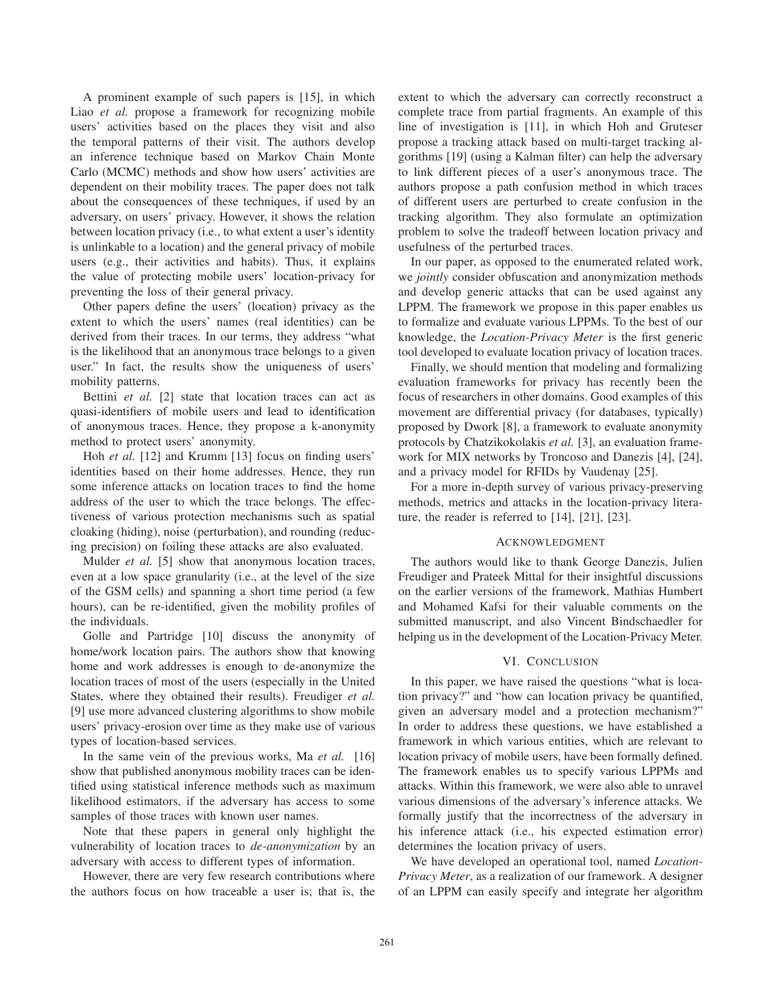A prominent example of such papers is [15], in which Liao *et al.* propose a framework for recognizing mobile users' activities based on the places they visit and also the temporal patterns of their visit. The authors develop an inference technique based on Markov Chain Monte Carlo (MCMC) methods and show how users' activities are dependent on their mobility traces. The paper does not talk about the consequences of these techniques, if used by an adversary, on users' privacy. However, it shows the relation between location privacy (i.e., to what extent a user's identity is unlinkable to a location) and the general privacy of mobile users (e.g., their activities and habits). Thus, it explains the value of protecting mobile users' location-privacy for preventing the loss of their general privacy.

Other papers define the users' (location) privacy as the extent to which the users' names (real identities) can be derived from their traces. In our terms, they address "what is the likelihood that an anonymous trace belongs to a given user." In fact, the results show the uniqueness of users' mobility patterns.

Bettini *et al.* [2] state that location traces can act as quasi-identifiers of mobile users and lead to identification of anonymous traces. Hence, they propose a k-anonymity method to protect users' anonymity.

Hoh *et al.* [12] and Krumm [13] focus on finding users' identities based on their home addresses. Hence, they run some inference attacks on location traces to find the home address of the user to which the trace belongs. The effectiveness of various protection mechanisms such as spatial cloaking (hiding), noise (perturbation), and rounding (reducing precision) on foiling these attacks are also evaluated.

Mulder *et al.* [5] show that anonymous location traces, even at a low space granularity (i.e., at the level of the size of the GSM cells) and spanning a short time period (a few hours), can be re-identified, given the mobility profiles of the individuals.

Golle and Partridge [10] discuss the anonymity of home/work location pairs. The authors show that knowing home and work addresses is enough to de-anonymize the location traces of most of the users (especially in the United States, where they obtained their results). Freudiger *et al.* [9] use more advanced clustering algorithms to show mobile users' privacy-erosion over time as they make use of various types of location-based services.

In the same vein of the previous works, Ma *et al.* [16] show that published anonymous mobility traces can be identified using statistical inference methods such as maximum likelihood estimators, if the adversary has access to some samples of those traces with known user names.

Note that these papers in general only highlight the vulnerability of location traces to *de-anonymization* by an adversary with access to different types of information.

However, there are very few research contributions where the authors focus on how traceable a user is; that is, the extent to which the adversary can correctly reconstruct a complete trace from partial fragments. An example of this line of investigation is [11], in which Hoh and Gruteser propose a tracking attack based on multi-target tracking algorithms [19] (using a Kalman filter) can help the adversary to link different pieces of a user's anonymous trace. The authors propose a path confusion method in which traces of different users are perturbed to create confusion in the tracking algorithm. They also formulate an optimization problem to solve the tradeoff between location privacy and usefulness of the perturbed traces.

In our paper, as opposed to the enumerated related work, we *jointly* consider obfuscation and anonymization methods and develop generic attacks that can be used against any LPPM. The framework we propose in this paper enables us to formalize and evaluate various LPPMs. To the best of our knowledge, the *Location-Privacy Meter* is the first generic tool developed to evaluate location privacy of location traces.

Finally, we should mention that modeling and formalizing evaluation frameworks for privacy has recently been the focus of researchers in other domains. Good examples of this movement are differential privacy (for databases, typically) proposed by Dwork [8], a framework to evaluate anonymity protocols by Chatzikokolakis *et al.* [3], an evaluation framework for MIX networks by Troncoso and Danezis [4], [24], and a privacy model for RFIDs by Vaudenay [25].

For a more in-depth survey of various privacy-preserving methods, metrics and attacks in the location-privacy literature, the reader is referred to [14], [21], [23].

#### ACKNOWLEDGMENT

The authors would like to thank George Danezis, Julien Freudiger and Prateek Mittal for their insightful discussions on the earlier versions of the framework, Mathias Humbert and Mohamed Kafsi for their valuable comments on the submitted manuscript, and also Vincent Bindschaedler for helping us in the development of the Location-Privacy Meter.

#### VI. CONCLUSION

In this paper, we have raised the questions "what is location privacy?" and "how can location privacy be quantified, given an adversary model and a protection mechanism?" In order to address these questions, we have established a framework in which various entities, which are relevant to location privacy of mobile users, have been formally defined. The framework enables us to specify various LPPMs and attacks. Within this framework, we were also able to unravel various dimensions of the adversary's inference attacks. We formally justify that the incorrectness of the adversary in his inference attack (i.e., his expected estimation error) determines the location privacy of users.

We have developed an operational tool, named *Location-Privacy Meter*, as a realization of our framework. A designer of an LPPM can easily specify and integrate her algorithm